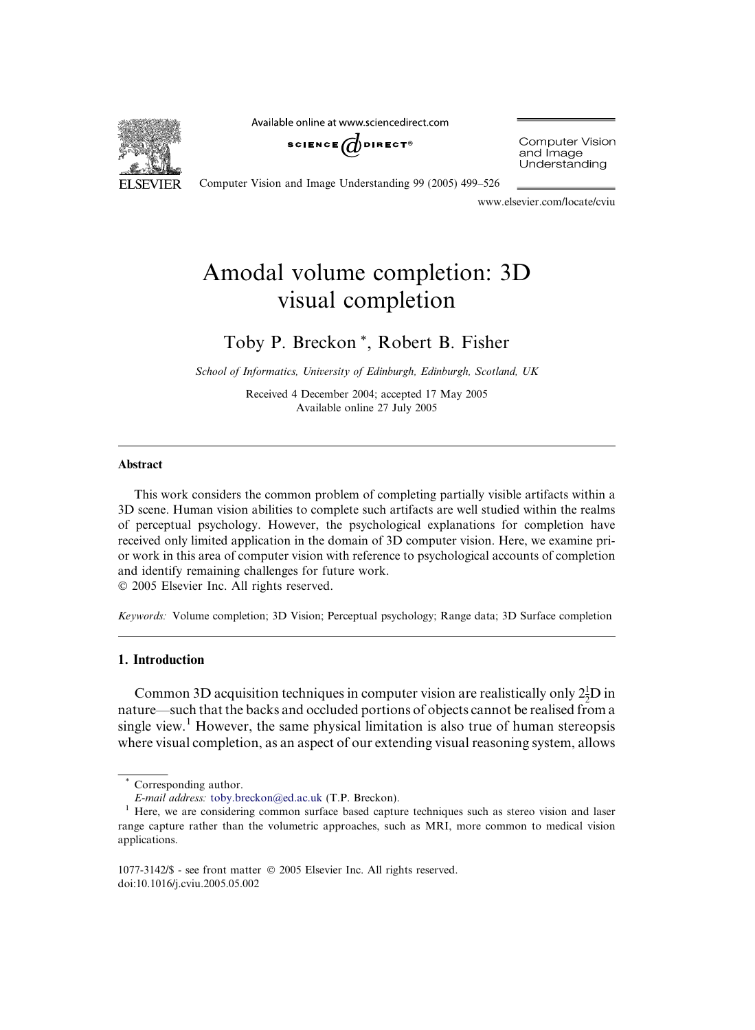

Available online at www.sciencedirect.com



**Computer Vision** and Image Understanding

Computer Vision and Image Understanding 99 (2005) 499–526

www.elsevier.com/locate/cviu

# Amodal volume completion: 3D visual completion

# Toby P. Breckon \*, Robert B. Fisher

School of Informatics, University of Edinburgh, Edinburgh, Scotland, UK

Received 4 December 2004; accepted 17 May 2005 Available online 27 July 2005

# Abstract

This work considers the common problem of completing partially visible artifacts within a 3D scene. Human vision abilities to complete such artifacts are well studied within the realms of perceptual psychology. However, the psychological explanations for completion have received only limited application in the domain of 3D computer vision. Here, we examine prior work in this area of computer vision with reference to psychological accounts of completion and identify remaining challenges for future work.

2005 Elsevier Inc. All rights reserved.

Keywords: Volume completion; 3D Vision; Perceptual psychology; Range data; 3D Surface completion

### 1. Introduction

Common 3D acquisition techniques in computer vision are realistically only  $2\frac{1}{2}D$  in nature—such that the backs and occluded portions of objects cannot be realised from a single view.<sup>1</sup> However, the same physical limitation is also true of human stereopsis where visual completion, as an aspect of our extending visual reasoning system, allows

Corresponding author.

E-mail address: [toby.breckon@ed.ac.uk](mailto:toby.breckon@ed.ac.uk) (T.P. Breckon).<br><sup>1</sup> Here, we are considering common surface based capture techniques such as stereo vision and laser range capture rather than the volumetric approaches, such as MRI, more common to medical vision applications.

<sup>1077-3142/\$ -</sup> see front matter 2005 Elsevier Inc. All rights reserved. doi:10.1016/j.cviu.2005.05.002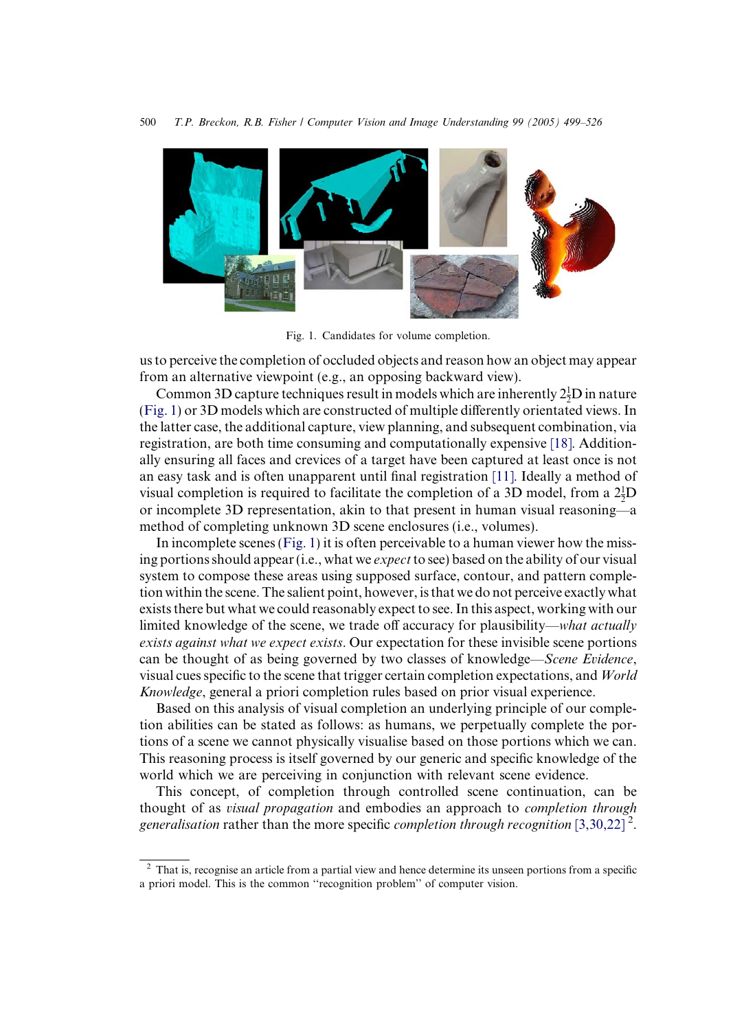<span id="page-1-0"></span>

Fig. 1. Candidates for volume completion.

us to perceive the completion of occluded objects and reason how an object may appear from an alternative viewpoint (e.g., an opposing backward view).

Common 3D capture techniques result in models which are inherently  $2\frac{1}{2}D$  in nature (Fig. 1) or 3D models which are constructed of multiple differently orientated views. In the latter case, the additional capture, view planning, and subsequent combination, via registration, are both time consuming and computationally expensive [\[18\]](#page-25-0). Additionally ensuring all faces and crevices of a target have been captured at least once is not an easy task and is often unapparent until final registration [\[11\]](#page-24-0). Ideally a method of visual completion is required to facilitate the completion of a 3D model, from a  $2\frac{1}{2}D$ or incomplete 3D representation, akin to that present in human visual reasoning—a method of completing unknown 3D scene enclosures (i.e., volumes).

In incomplete scenes (Fig. 1) it is often perceivable to a human viewer how the missing portions should appear (i.e., what we *expect* to see) based on the ability of our visual system to compose these areas using supposed surface, contour, and pattern completion within the scene. The salient point, however, is that we do not perceive exactly what exists there but what we could reasonably expect to see. In this aspect, working with our limited knowledge of the scene, we trade off accuracy for plausibility—what actually exists against what we expect exists. Our expectation for these invisible scene portions can be thought of as being governed by two classes of knowledge—Scene Evidence, visual cues specific to the scene that trigger certain completion expectations, and World Knowledge, general a priori completion rules based on prior visual experience.

Based on this analysis of visual completion an underlying principle of our completion abilities can be stated as follows: as humans, we perpetually complete the portions of a scene we cannot physically visualise based on those portions which we can. This reasoning process is itself governed by our generic and specific knowledge of the world which we are perceiving in conjunction with relevant scene evidence.

This concept, of completion through controlled scene continuation, can be thought of as visual propagation and embodies an approach to completion through generalisation rather than the more specific completion through recognition [\[3,30,22\]](#page-24-0)<sup>2</sup>.

<sup>&</sup>lt;sup>2</sup> That is, recognise an article from a partial view and hence determine its unseen portions from a specific a priori model. This is the common ''recognition problem'' of computer vision.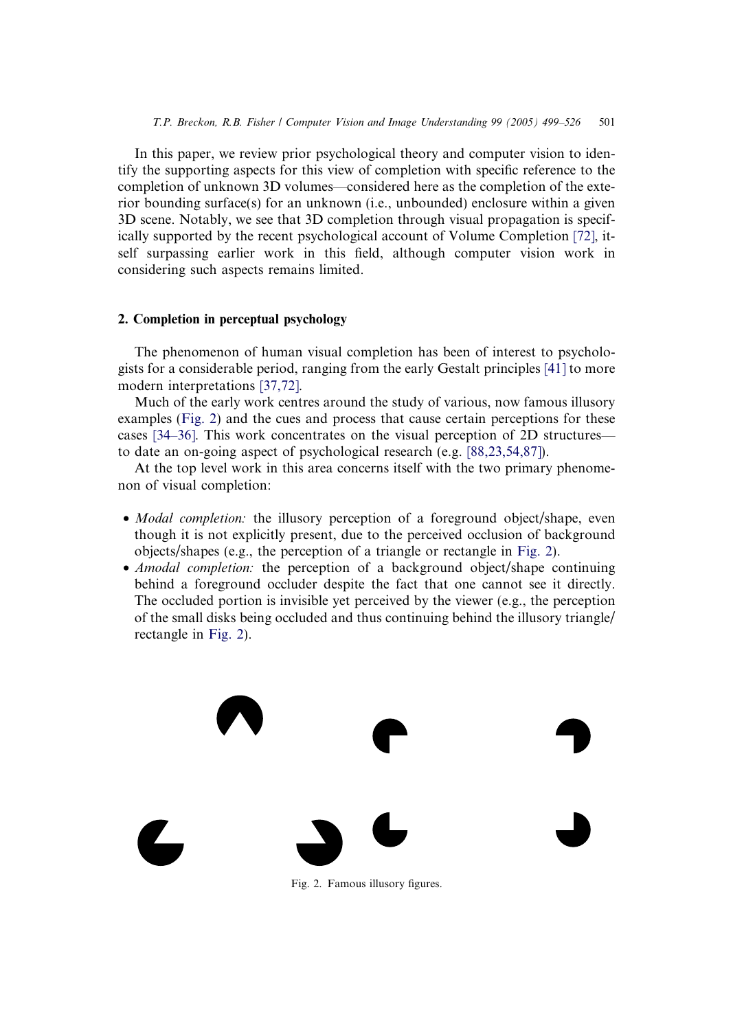In this paper, we review prior psychological theory and computer vision to identify the supporting aspects for this view of completion with specific reference to the completion of unknown 3D volumes—considered here as the completion of the exterior bounding surface(s) for an unknown (i.e., unbounded) enclosure within a given 3D scene. Notably, we see that 3D completion through visual propagation is specifically supported by the recent psychological account of Volume Completion [\[72\],](#page-27-0) itself surpassing earlier work in this field, although computer vision work in considering such aspects remains limited.

### 2. Completion in perceptual psychology

The phenomenon of human visual completion has been of interest to psychologists for a considerable period, ranging from the early Gestalt principles [\[41\]](#page-25-0) to more modern interpretations [\[37,72\]](#page-25-0).

Much of the early work centres around the study of various, now famous illusory examples (Fig. 2) and the cues and process that cause certain perceptions for these cases [\[34–36\].](#page-25-0) This work concentrates on the visual perception of 2D structures to date an on-going aspect of psychological research (e.g. [\[88,23,54,87\]](#page-27-0)).

At the top level work in this area concerns itself with the two primary phenomenon of visual completion:

- *Modal completion:* the illusory perception of a foreground object/shape, even though it is not explicitly present, due to the perceived occlusion of background objects/shapes (e.g., the perception of a triangle or rectangle in Fig. 2).
- Amodal completion: the perception of a background object/shape continuing behind a foreground occluder despite the fact that one cannot see it directly. The occluded portion is invisible yet perceived by the viewer (e.g., the perception of the small disks being occluded and thus continuing behind the illusory triangle/ rectangle in Fig. 2).



Fig. 2. Famous illusory figures.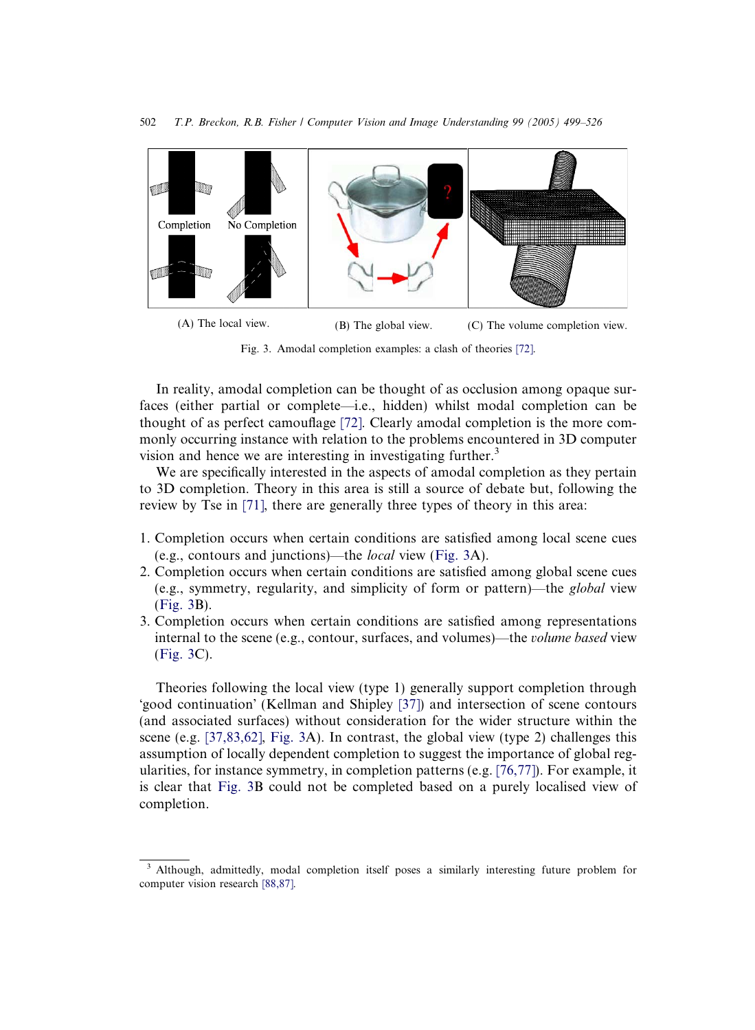<span id="page-3-0"></span>

Fig. 3. Amodal completion examples: a clash of theories [\[72\]](#page-27-0).

In reality, amodal completion can be thought of as occlusion among opaque surfaces (either partial or complete—i.e., hidden) whilst modal completion can be thought of as perfect camouflage [\[72\].](#page-27-0) Clearly amodal completion is the more commonly occurring instance with relation to the problems encountered in 3D computer vision and hence we are interesting in investigating further.<sup>3</sup>

We are specifically interested in the aspects of amodal completion as they pertain to 3D completion. Theory in this area is still a source of debate but, following the review by Tse in [\[71\]](#page-26-0), there are generally three types of theory in this area:

- 1. Completion occurs when certain conditions are satisfied among local scene cues (e.g., contours and junctions)—the local view (Fig. 3A).
- 2. Completion occurs when certain conditions are satisfied among global scene cues (e.g., symmetry, regularity, and simplicity of form or pattern)—the global view (Fig. 3B).
- 3. Completion occurs when certain conditions are satisfied among representations internal to the scene (e.g., contour, surfaces, and volumes)—the volume based view (Fig. 3C).

Theories following the local view (type 1) generally support completion through 'good continuation' (Kellman and Shipley [\[37\]\)](#page-25-0) and intersection of scene contours (and associated surfaces) without consideration for the wider structure within the scene (e.g. [\[37,83,62\],](#page-25-0) Fig. 3A). In contrast, the global view (type 2) challenges this assumption of locally dependent completion to suggest the importance of global regularities, for instance symmetry, in completion patterns (e.g. [\[76,77\]\)](#page-27-0). For example, it is clear that Fig. 3B could not be completed based on a purely localised view of completion.

<sup>&</sup>lt;sup>3</sup> Although, admittedly, modal completion itself poses a similarly interesting future problem for computer vision research [\[88,87\]](#page-27-0).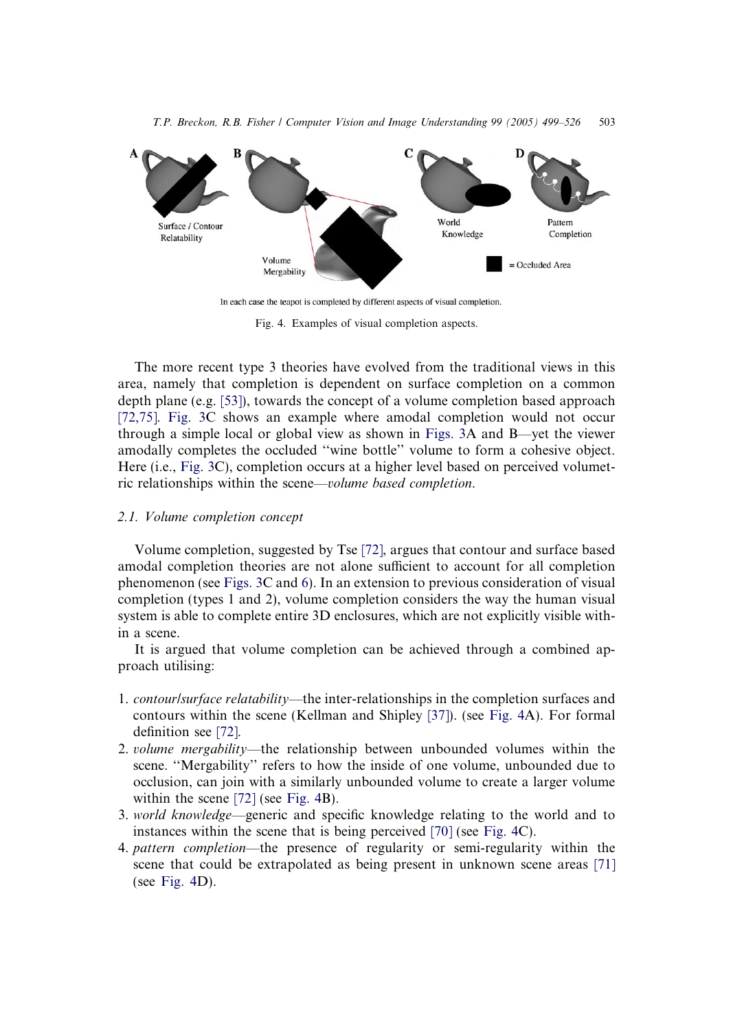<span id="page-4-0"></span>

In each case the teapot is completed by different aspects of visual completion.

Fig. 4. Examples of visual completion aspects.

The more recent type 3 theories have evolved from the traditional views in this area, namely that completion is dependent on surface completion on a common depth plane (e.g.  $[53]$ ), towards the concept of a volume completion based approach [\[72,75\]](#page-27-0). [Fig. 3](#page-3-0)C shows an example where amodal completion would not occur through a simple local or global view as shown in [Figs. 3A](#page-3-0) and B—yet the viewer amodally completes the occluded ''wine bottle'' volume to form a cohesive object. Here (i.e., [Fig. 3C](#page-3-0)), completion occurs at a higher level based on perceived volumetric relationships within the scene—volume based completion.

### 2.1. Volume completion concept

Volume completion, suggested by Tse [\[72\],](#page-27-0) argues that contour and surface based amodal completion theories are not alone sufficient to account for all completion phenomenon (see [Figs. 3](#page-3-0)C and [6](#page-6-0)). In an extension to previous consideration of visual completion (types 1 and 2), volume completion considers the way the human visual system is able to complete entire 3D enclosures, which are not explicitly visible within a scene.

It is argued that volume completion can be achieved through a combined approach utilising:

- 1. contour/surface relatability—the inter-relationships in the completion surfaces and contours within the scene (Kellman and Shipley [\[37\]\)](#page-25-0). (see Fig. 4A). For formal definition see [\[72\]](#page-27-0).
- 2. *volume mergability*—the relationship between unbounded volumes within the scene. ''Mergability'' refers to how the inside of one volume, unbounded due to occlusion, can join with a similarly unbounded volume to create a larger volume within the scene [\[72\]](#page-27-0) (see Fig. 4B).
- 3. world knowledge—generic and specific knowledge relating to the world and to instances within the scene that is being perceived [\[70\]](#page-26-0) (see Fig. 4C).
- 4. pattern completion—the presence of regularity or semi-regularity within the scene that could be extrapolated as being present in unknown scene areas [\[71\]](#page-26-0) (see Fig.  $4D$ ).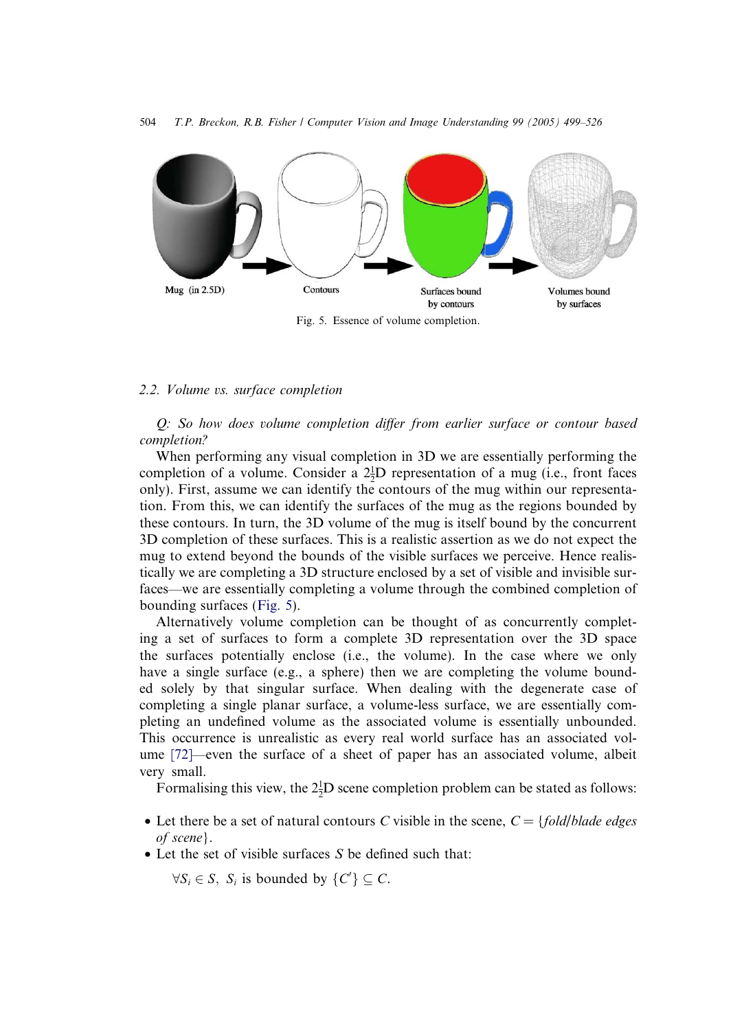

Fig. 5. Essence of volume completion.

# 2.2. Volume vs. surface completion

Q: So how does volume completion differ from earlier surface or contour based completion?

When performing any visual completion in 3D we are essentially performing the completion of a volume. Consider a  $2\frac{1}{2}D$  representation of a mug (i.e., front faces only). First, assume we can identify the contours of the mug within our representation. From this, we can identify the surfaces of the mug as the regions bounded by these contours. In turn, the 3D volume of the mug is itself bound by the concurrent 3D completion of these surfaces. This is a realistic assertion as we do not expect the mug to extend beyond the bounds of the visible surfaces we perceive. Hence realistically we are completing a 3D structure enclosed by a set of visible and invisible surfaces—we are essentially completing a volume through the combined completion of bounding surfaces (Fig. 5).

Alternatively volume completion can be thought of as concurrently completing a set of surfaces to form a complete 3D representation over the 3D space the surfaces potentially enclose (i.e., the volume). In the case where we only have a single surface (e.g., a sphere) then we are completing the volume bounded solely by that singular surface. When dealing with the degenerate case of completing a single planar surface, a volume-less surface, we are essentially completing an undefined volume as the associated volume is essentially unbounded. This occurrence is unrealistic as every real world surface has an associated volume [\[72\]—](#page-27-0)even the surface of a sheet of paper has an associated volume, albeit very small.

Formalising this view, the  $2\frac{1}{2}D$  scene completion problem can be stated as follows:

- Let there be a set of natural contours C visible in the scene,  $C = \{fold/b \}$  Let there  $b$  leads of scene}.
- Let the set of visible surfaces  $S$  be defined such that:

 $\forall S_i \in S$ ,  $S_i$  is bounded by  $\{C'\} \subseteq C$ .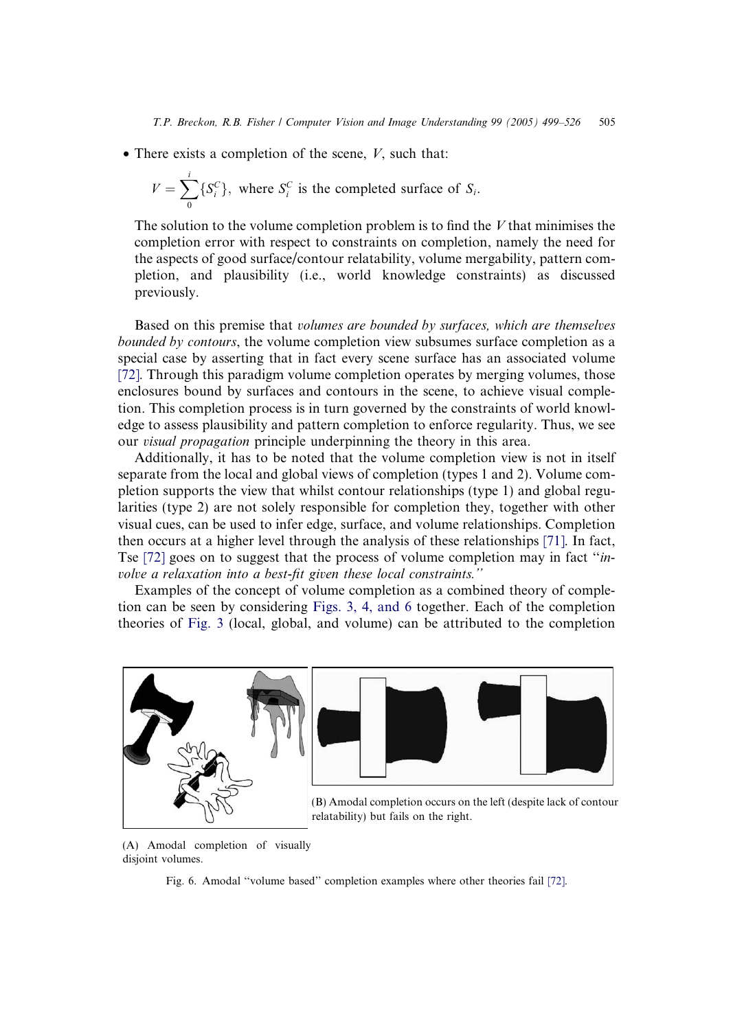<span id="page-6-0"></span>• There exists a completion of the scene,  $V$ , such that:

$$
V = \sum_{0}^{i} \{S_{i}^{C}\},
$$
 where  $S_{i}^{C}$  is the completed surface of  $S_{i}$ .

The solution to the volume completion problem is to find the  $V$  that minimises the completion error with respect to constraints on completion, namely the need for the aspects of good surface/contour relatability, volume mergability, pattern completion, and plausibility (i.e., world knowledge constraints) as discussed previously.

Based on this premise that volumes are bounded by surfaces, which are themselves bounded by contours, the volume completion view subsumes surface completion as a special case by asserting that in fact every scene surface has an associated volume [\[72\]](#page-27-0). Through this paradigm volume completion operates by merging volumes, those enclosures bound by surfaces and contours in the scene, to achieve visual completion. This completion process is in turn governed by the constraints of world knowledge to assess plausibility and pattern completion to enforce regularity. Thus, we see our visual propagation principle underpinning the theory in this area.

Additionally, it has to be noted that the volume completion view is not in itself separate from the local and global views of completion (types 1 and 2). Volume completion supports the view that whilst contour relationships (type 1) and global regularities (type 2) are not solely responsible for completion they, together with other visual cues, can be used to infer edge, surface, and volume relationships. Completion then occurs at a higher level through the analysis of these relationships [\[71\].](#page-26-0) In fact, Tse [\[72\]](#page-27-0) goes on to suggest that the process of volume completion may in fact ''involve a relaxation into a best-fit given these local constraints.''

Examples of the concept of volume completion as a combined theory of completion can be seen by considering [Figs. 3, 4, and 6](#page-3-0) together. Each of the completion theories of [Fig. 3](#page-3-0) (local, global, and volume) can be attributed to the completion



relatability) but fails on the right.

(A) Amodal completion of visually disjoint volumes.

Fig. 6. Amodal ''volume based'' completion examples where other theories fail [\[72\]](#page-27-0).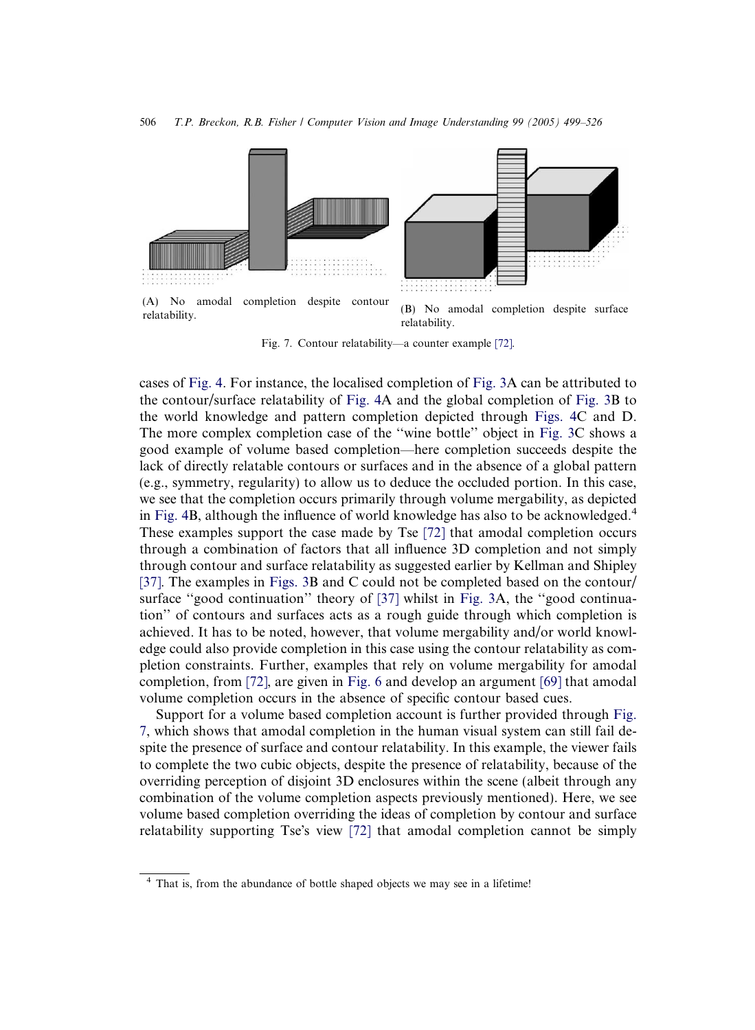

Fig. 7. Contour relatability—a counter example [\[72\]](#page-27-0).

cases of [Fig. 4](#page-4-0). For instance, the localised completion of [Fig. 3](#page-3-0)A can be attributed to the contour/surface relatability of [Fig. 4](#page-4-0)A and the global completion of [Fig. 3](#page-3-0)B to the world knowledge and pattern completion depicted through [Figs. 4C](#page-4-0) and D. The more complex completion case of the ''wine bottle'' object in [Fig. 3](#page-3-0)C shows a good example of volume based completion—here completion succeeds despite the lack of directly relatable contours or surfaces and in the absence of a global pattern (e.g., symmetry, regularity) to allow us to deduce the occluded portion. In this case, we see that the completion occurs primarily through volume mergability, as depicted in [Fig. 4](#page-4-0)B, although the influence of world knowledge has also to be acknowledged.<sup>4</sup> These examples support the case made by Tse [\[72\]](#page-27-0) that amodal completion occurs through a combination of factors that all influence 3D completion and not simply through contour and surface relatability as suggested earlier by Kellman and Shipley [\[37\].](#page-25-0) The examples in [Figs. 3B](#page-3-0) and C could not be completed based on the contour/ surface ''good continuation'' theory of [\[37\]](#page-25-0) whilst in [Fig. 3](#page-3-0)A, the ''good continuation'' of contours and surfaces acts as a rough guide through which completion is achieved. It has to be noted, however, that volume mergability and/or world knowledge could also provide completion in this case using the contour relatability as completion constraints. Further, examples that rely on volume mergability for amodal completion, from [\[72\],](#page-27-0) are given in [Fig. 6](#page-6-0) and develop an argument [\[69\]](#page-26-0) that amodal volume completion occurs in the absence of specific contour based cues.

Support for a volume based completion account is further provided through Fig. 7, which shows that amodal completion in the human visual system can still fail despite the presence of surface and contour relatability. In this example, the viewer fails to complete the two cubic objects, despite the presence of relatability, because of the overriding perception of disjoint 3D enclosures within the scene (albeit through any combination of the volume completion aspects previously mentioned). Here, we see volume based completion overriding the ideas of completion by contour and surface relatability supporting Tse's view [\[72\]](#page-27-0) that amodal completion cannot be simply

<sup>4</sup> That is, from the abundance of bottle shaped objects we may see in a lifetime!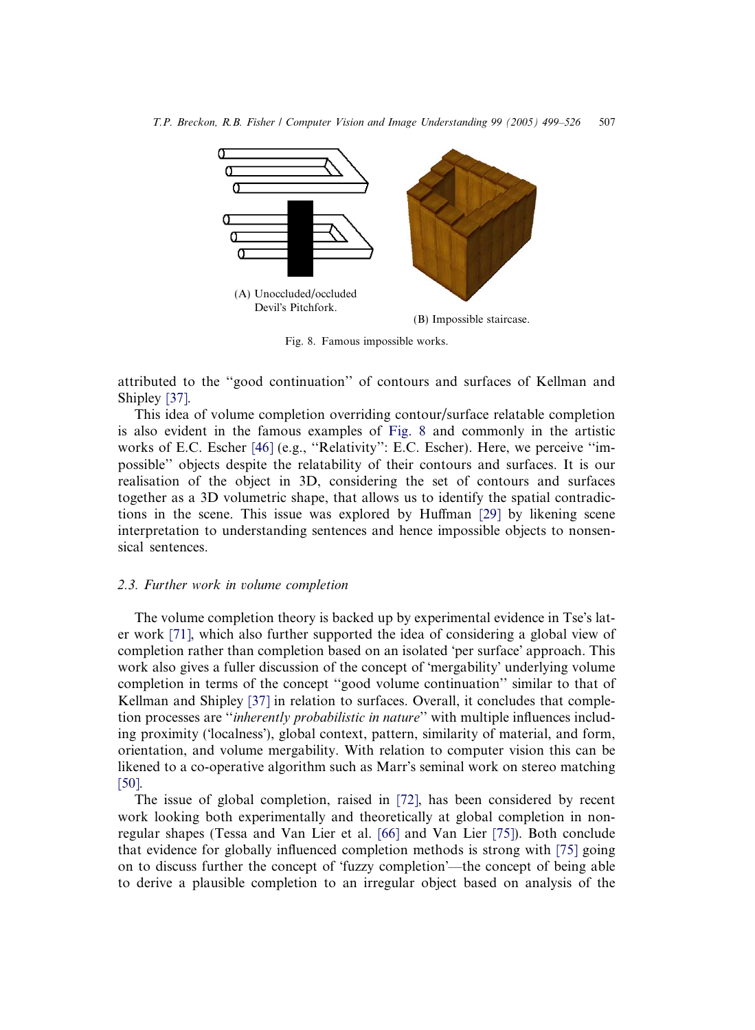

Fig. 8. Famous impossible works.

attributed to the ''good continuation'' of contours and surfaces of Kellman and Shipley [\[37\]](#page-25-0).

This idea of volume completion overriding contour/surface relatable completion is also evident in the famous examples of Fig. 8 and commonly in the artistic works of E.C. Escher [\[46\]](#page-25-0) (e.g., ''Relativity'': E.C. Escher). Here, we perceive ''impossible'' objects despite the relatability of their contours and surfaces. It is our realisation of the object in 3D, considering the set of contours and surfaces together as a 3D volumetric shape, that allows us to identify the spatial contradictions in the scene. This issue was explored by Huffman [\[29\]](#page-25-0) by likening scene interpretation to understanding sentences and hence impossible objects to nonsensical sentences.

# 2.3. Further work in volume completion

The volume completion theory is backed up by experimental evidence in Tse's later work [\[71\]](#page-26-0), which also further supported the idea of considering a global view of completion rather than completion based on an isolated 'per surface' approach. This work also gives a fuller discussion of the concept of 'mergability' underlying volume completion in terms of the concept ''good volume continuation'' similar to that of Kellman and Shipley [\[37\]](#page-25-0) in relation to surfaces. Overall, it concludes that completion processes are "*inherently probabilistic in nature*" with multiple influences including proximity ('localness'), global context, pattern, similarity of material, and form, orientation, and volume mergability. With relation to computer vision this can be likened to a co-operative algorithm such as Marr's seminal work on stereo matching [\[50\]](#page-26-0).

The issue of global completion, raised in [\[72\]](#page-27-0), has been considered by recent work looking both experimentally and theoretically at global completion in nonregular shapes (Tessa and Van Lier et al. [\[66\]](#page-26-0) and Van Lier [\[75\]\)](#page-27-0). Both conclude that evidence for globally influenced completion methods is strong with [\[75\]](#page-27-0) going on to discuss further the concept of 'fuzzy completion'—the concept of being able to derive a plausible completion to an irregular object based on analysis of the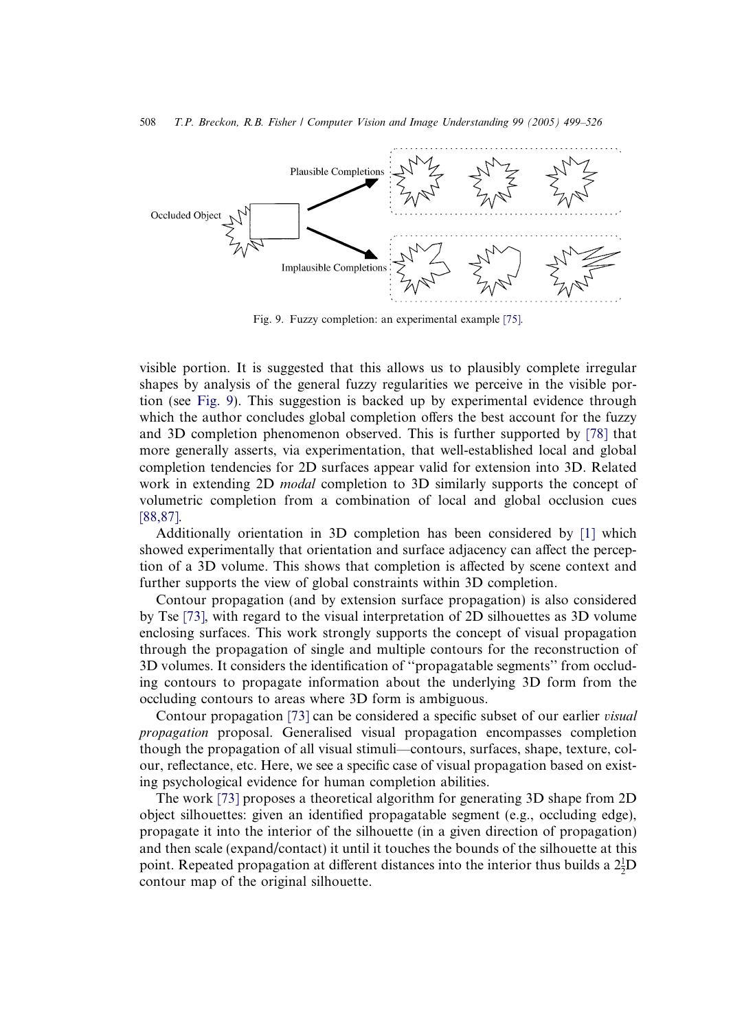<span id="page-9-0"></span>

Fig. 9. Fuzzy completion: an experimental example [\[75\]](#page-27-0).

visible portion. It is suggested that this allows us to plausibly complete irregular shapes by analysis of the general fuzzy regularities we perceive in the visible portion (see Fig. 9). This suggestion is backed up by experimental evidence through which the author concludes global completion offers the best account for the fuzzy and 3D completion phenomenon observed. This is further supported by [\[78\]](#page-27-0) that more generally asserts, via experimentation, that well-established local and global completion tendencies for 2D surfaces appear valid for extension into 3D. Related work in extending 2D *modal* completion to 3D similarly supports the concept of volumetric completion from a combination of local and global occlusion cues [\[88,87\].](#page-27-0)

Additionally orientation in 3D completion has been considered by [\[1\]](#page-24-0) which showed experimentally that orientation and surface adjacency can affect the perception of a 3D volume. This shows that completion is affected by scene context and further supports the view of global constraints within 3D completion.

Contour propagation (and by extension surface propagation) is also considered by Tse [\[73\]](#page-27-0), with regard to the visual interpretation of 2D silhouettes as 3D volume enclosing surfaces. This work strongly supports the concept of visual propagation through the propagation of single and multiple contours for the reconstruction of 3D volumes. It considers the identification of ''propagatable segments'' from occluding contours to propagate information about the underlying 3D form from the occluding contours to areas where 3D form is ambiguous.

Contour propagation [\[73\]](#page-27-0) can be considered a specific subset of our earlier *visual* propagation proposal. Generalised visual propagation encompasses completion though the propagation of all visual stimuli—contours, surfaces, shape, texture, colour, reflectance, etc. Here, we see a specific case of visual propagation based on existing psychological evidence for human completion abilities.

The work [\[73\]](#page-27-0) proposes a theoretical algorithm for generating 3D shape from 2D object silhouettes: given an identified propagatable segment (e.g., occluding edge), propagate it into the interior of the silhouette (in a given direction of propagation) and then scale (expand/contact) it until it touches the bounds of the silhouette at this point. Repeated propagation at different distances into the interior thus builds a  $2\frac{1}{2}D$ contour map of the original silhouette.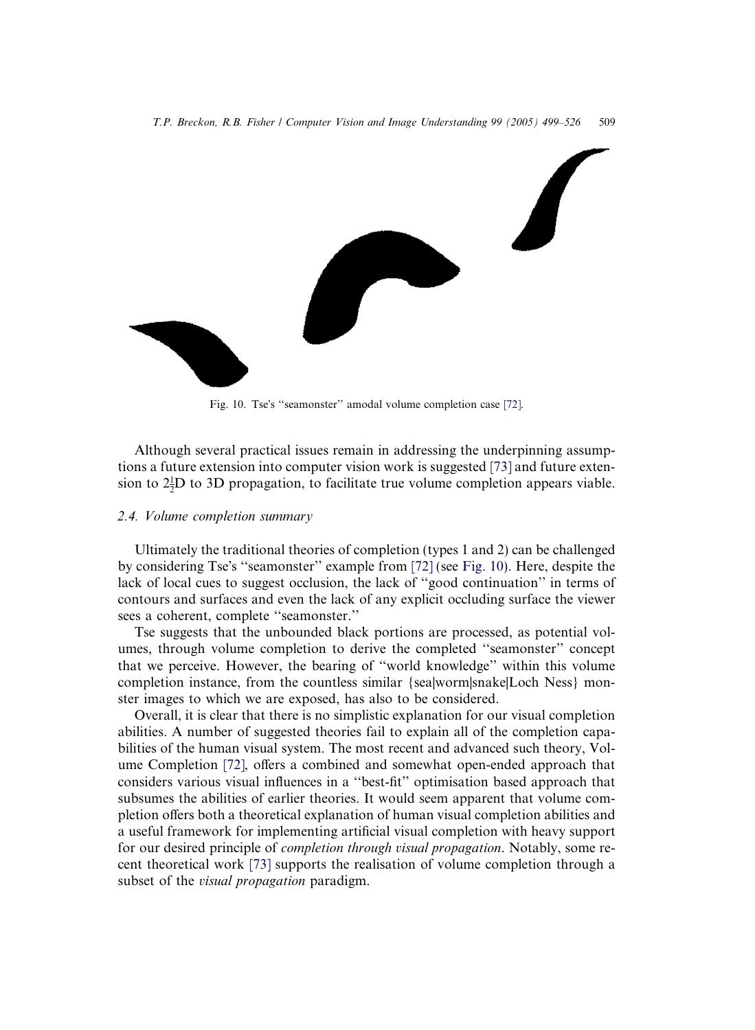<span id="page-10-0"></span>

Fig. 10. Tse's "seamonster" amodal volume completion case [\[72\]](#page-27-0).

Although several practical issues remain in addressing the underpinning assumptions a future extension into computer vision work is suggested [\[73\]](#page-27-0) and future extension to  $2\frac{1}{2}D$  to 3D propagation, to facilitate true volume completion appears viable.

### 2.4. Volume completion summary

Ultimately the traditional theories of completion (types 1 and 2) can be challenged by considering Tse's "seamonster" example from [\[72\]](#page-27-0) (see Fig. 10). Here, despite the lack of local cues to suggest occlusion, the lack of ''good continuation'' in terms of contours and surfaces and even the lack of any explicit occluding surface the viewer sees a coherent, complete ''seamonster.''

Tse suggests that the unbounded black portions are processed, as potential volumes, through volume completion to derive the completed ''seamonster'' concept that we perceive. However, the bearing of ''world knowledge'' within this volume completion instance, from the countless similar {sea|worm|snake|Loch Ness} monster images to which we are exposed, has also to be considered.

Overall, it is clear that there is no simplistic explanation for our visual completion abilities. A number of suggested theories fail to explain all of the completion capabilities of the human visual system. The most recent and advanced such theory, Volume Completion [\[72\]](#page-27-0), offers a combined and somewhat open-ended approach that considers various visual influences in a ''best-fit'' optimisation based approach that subsumes the abilities of earlier theories. It would seem apparent that volume completion offers both a theoretical explanation of human visual completion abilities and a useful framework for implementing artificial visual completion with heavy support for our desired principle of *completion through visual propagation*. Notably, some recent theoretical work [\[73\]](#page-27-0) supports the realisation of volume completion through a subset of the *visual propagation* paradigm.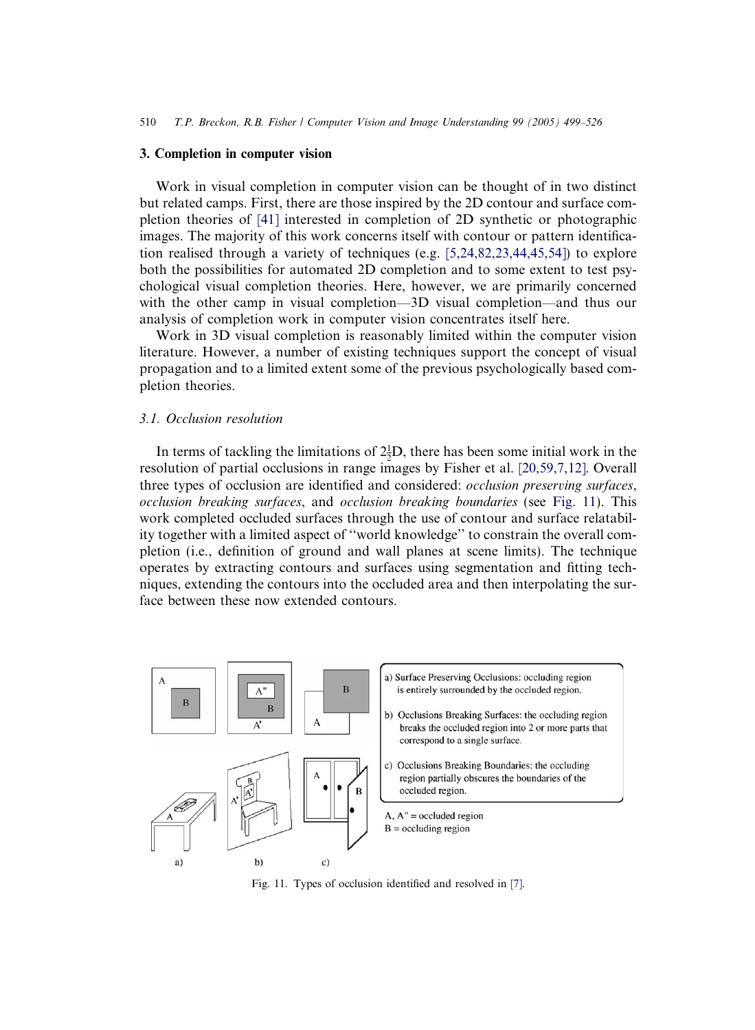#### 3. Completion in computer vision

Work in visual completion in computer vision can be thought of in two distinct but related camps. First, there are those inspired by the 2D contour and surface completion theories of [\[41\]](#page-25-0) interested in completion of 2D synthetic or photographic images. The majority of this work concerns itself with contour or pattern identification realised through a variety of techniques (e.g.  $[5,24,82,23,44,45,54]$ ) to explore both the possibilities for automated 2D completion and to some extent to test psychological visual completion theories. Here, however, we are primarily concerned with the other camp in visual completion—3D visual completion—and thus our analysis of completion work in computer vision concentrates itself here.

Work in 3D visual completion is reasonably limited within the computer vision literature. However, a number of existing techniques support the concept of visual propagation and to a limited extent some of the previous psychologically based completion theories.

#### 3.1. Occlusion resolution

In terms of tackling the limitations of  $2\frac{1}{2}D$ , there has been some initial work in the resolution of partial occlusions in range images by Fisher et al. [\[20,59,7,12\]](#page-25-0). Overall three types of occlusion are identified and considered: occlusion preserving surfaces, occlusion breaking surfaces, and occlusion breaking boundaries (see Fig. 11). This work completed occluded surfaces through the use of contour and surface relatability together with a limited aspect of ''world knowledge'' to constrain the overall completion (i.e., definition of ground and wall planes at scene limits). The technique operates by extracting contours and surfaces using segmentation and fitting techniques, extending the contours into the occluded area and then interpolating the surface between these now extended contours.



Fig. 11. Types of occlusion identified and resolved in [\[7\]](#page-24-0).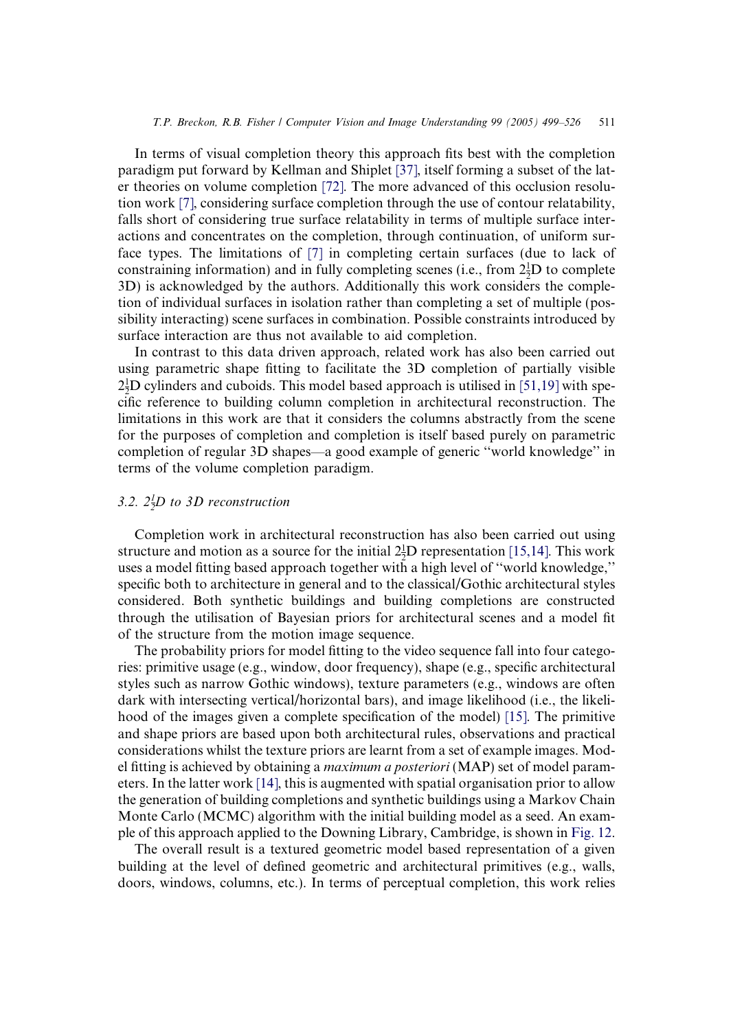In terms of visual completion theory this approach fits best with the completion paradigm put forward by Kellman and Shiplet [\[37\],](#page-25-0) itself forming a subset of the later theories on volume completion [\[72\]](#page-27-0). The more advanced of this occlusion resolution work [\[7\]](#page-24-0), considering surface completion through the use of contour relatability, falls short of considering true surface relatability in terms of multiple surface interactions and concentrates on the completion, through continuation, of uniform surface types. The limitations of [\[7\]](#page-24-0) in completing certain surfaces (due to lack of constraining information) and in fully completing scenes (i.e., from  $2\frac{1}{2}D$  to complete 3D) is acknowledged by the authors. Additionally this work considers the completion of individual surfaces in isolation rather than completing a set of multiple (possibility interacting) scene surfaces in combination. Possible constraints introduced by surface interaction are thus not available to aid completion.

In contrast to this data driven approach, related work has also been carried out using parametric shape fitting to facilitate the 3D completion of partially visible  $2\frac{1}{2}$ D cylinders and cuboids. This model based approach is utilised in [\[51,19\]](#page-26-0) with specific reference to building column completion in architectural reconstruction. The limitations in this work are that it considers the columns abstractly from the scene for the purposes of completion and completion is itself based purely on parametric completion of regular 3D shapes—a good example of generic ''world knowledge'' in terms of the volume completion paradigm.

# 3.2.  $2\frac{1}{2}D$  to 3D reconstruction

Completion work in architectural reconstruction has also been carried out using structure and motion as a source for the initial  $2\frac{1}{2}D$  representation [\[15,14\]](#page-24-0). This work uses a model fitting based approach together with a high level of ''world knowledge,'' specific both to architecture in general and to the classical/Gothic architectural styles considered. Both synthetic buildings and building completions are constructed through the utilisation of Bayesian priors for architectural scenes and a model fit of the structure from the motion image sequence.

The probability priors for model fitting to the video sequence fall into four categories: primitive usage (e.g., window, door frequency), shape (e.g., specific architectural styles such as narrow Gothic windows), texture parameters (e.g., windows are often dark with intersecting vertical/horizontal bars), and image likelihood (i.e., the likelihood of the images given a complete specification of the model) [\[15\].](#page-24-0) The primitive and shape priors are based upon both architectural rules, observations and practical considerations whilst the texture priors are learnt from a set of example images. Model fitting is achieved by obtaining a *maximum a posteriori* (MAP) set of model parameters. In the latter work [\[14\]](#page-24-0), this is augmented with spatial organisation prior to allow the generation of building completions and synthetic buildings using a Markov Chain Monte Carlo (MCMC) algorithm with the initial building model as a seed. An example of this approach applied to the Downing Library, Cambridge, is shown in [Fig. 12](#page-13-0).

The overall result is a textured geometric model based representation of a given building at the level of defined geometric and architectural primitives (e.g., walls, doors, windows, columns, etc.). In terms of perceptual completion, this work relies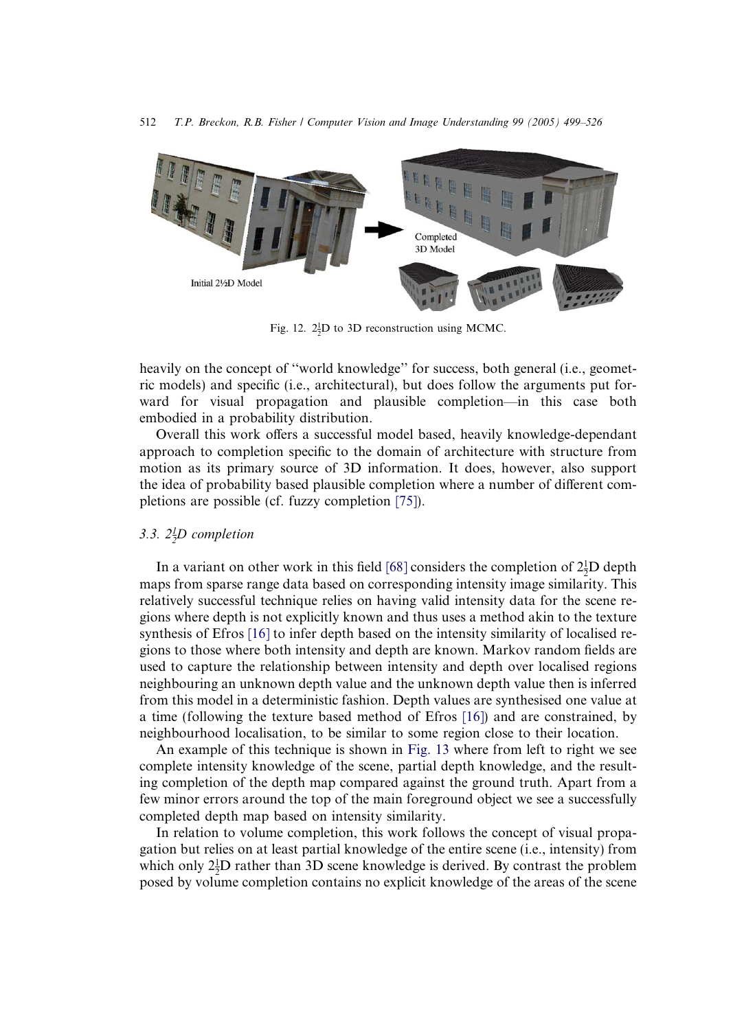<span id="page-13-0"></span>

Fig. 12.  $2\frac{1}{2}D$  to 3D reconstruction using MCMC.

heavily on the concept of ''world knowledge'' for success, both general (i.e., geometric models) and specific (i.e., architectural), but does follow the arguments put forward for visual propagation and plausible completion—in this case both embodied in a probability distribution.

Overall this work offers a successful model based, heavily knowledge-dependant approach to completion specific to the domain of architecture with structure from motion as its primary source of 3D information. It does, however, also support the idea of probability based plausible completion where a number of different completions are possible (cf. fuzzy completion [\[75\]\)](#page-27-0).

# 3.3.  $2^1/D$  completion

In a variant on other work in this field [\[68\]](#page-26-0) considers the completion of  $2^1_2D$  depth maps from sparse range data based on corresponding intensity image similarity. This relatively successful technique relies on having valid intensity data for the scene regions where depth is not explicitly known and thus uses a method akin to the texture synthesis of Efros [\[16\]](#page-24-0) to infer depth based on the intensity similarity of localised regions to those where both intensity and depth are known. Markov random fields are used to capture the relationship between intensity and depth over localised regions neighbouring an unknown depth value and the unknown depth value then is inferred from this model in a deterministic fashion. Depth values are synthesised one value at a time (following the texture based method of Efros [\[16\]\)](#page-24-0) and are constrained, by neighbourhood localisation, to be similar to some region close to their location.

An example of this technique is shown in [Fig. 13](#page-14-0) where from left to right we see complete intensity knowledge of the scene, partial depth knowledge, and the resulting completion of the depth map compared against the ground truth. Apart from a few minor errors around the top of the main foreground object we see a successfully completed depth map based on intensity similarity.

In relation to volume completion, this work follows the concept of visual propagation but relies on at least partial knowledge of the entire scene (i.e., intensity) from which only  $2\frac{1}{2}D$  rather than 3D scene knowledge is derived. By contrast the problem posed by volume completion contains no explicit knowledge of the areas of the scene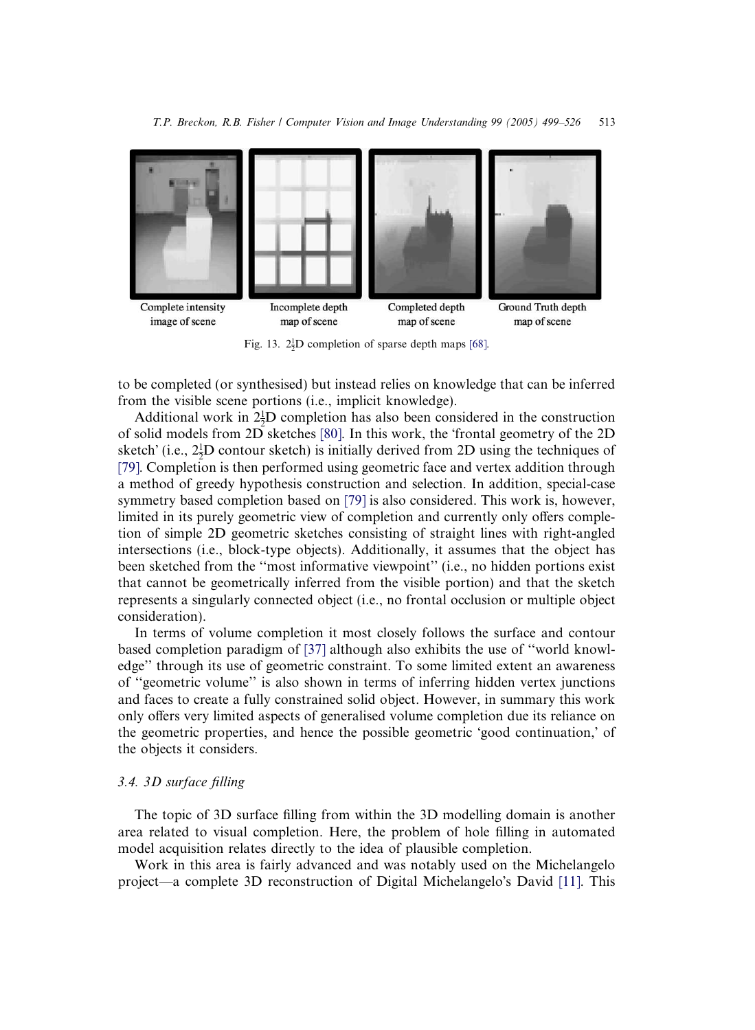<span id="page-14-0"></span>

Fig. 13.  $2\frac{1}{2}D$  completion of sparse depth maps [\[68\].](#page-26-0)

to be completed (or synthesised) but instead relies on knowledge that can be inferred from the visible scene portions (i.e., implicit knowledge).

Additional work in  $2\frac{1}{2}D$  completion has also been considered in the construction of solid models from 2D sketches [\[80\]](#page-27-0). In this work, the frontal geometry of the 2D sketch' (i.e.,  $2\frac{1}{2}D$  contour sketch) is initially derived from 2D using the techniques of [\[79\]](#page-27-0). Completion is then performed using geometric face and vertex addition through a method of greedy hypothesis construction and selection. In addition, special-case symmetry based completion based on [\[79\]](#page-27-0) is also considered. This work is, however, limited in its purely geometric view of completion and currently only offers completion of simple 2D geometric sketches consisting of straight lines with right-angled intersections (i.e., block-type objects). Additionally, it assumes that the object has been sketched from the ''most informative viewpoint'' (i.e., no hidden portions exist that cannot be geometrically inferred from the visible portion) and that the sketch represents a singularly connected object (i.e., no frontal occlusion or multiple object consideration).

In terms of volume completion it most closely follows the surface and contour based completion paradigm of [\[37\]](#page-25-0) although also exhibits the use of ''world knowledge'' through its use of geometric constraint. To some limited extent an awareness of ''geometric volume'' is also shown in terms of inferring hidden vertex junctions and faces to create a fully constrained solid object. However, in summary this work only offers very limited aspects of generalised volume completion due its reliance on the geometric properties, and hence the possible geometric 'good continuation,' of the objects it considers.

### 3.4. 3D surface filling

The topic of 3D surface filling from within the 3D modelling domain is another area related to visual completion. Here, the problem of hole filling in automated model acquisition relates directly to the idea of plausible completion.

Work in this area is fairly advanced and was notably used on the Michelangelo project—a complete 3D reconstruction of Digital Michelangelo's David [\[11\]](#page-24-0). This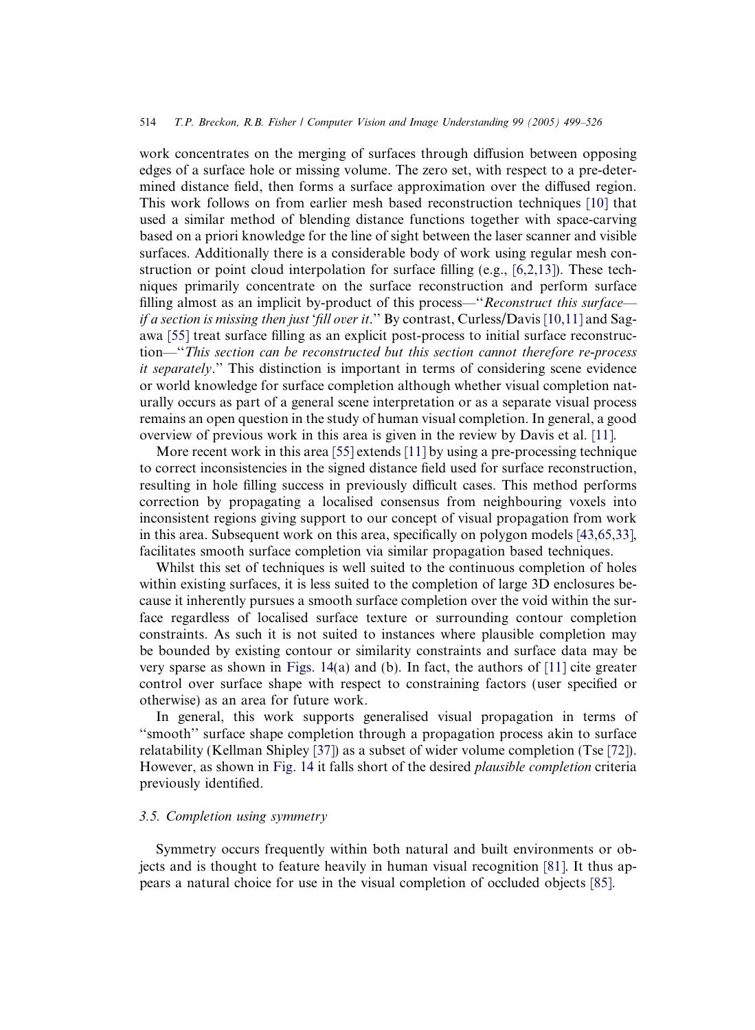#### 514 T.P. Breckon, R.B. Fisher / Computer Vision and Image Understanding 99 (2005) 499–526

work concentrates on the merging of surfaces through diffusion between opposing edges of a surface hole or missing volume. The zero set, with respect to a pre-determined distance field, then forms a surface approximation over the diffused region. This work follows on from earlier mesh based reconstruction techniques [\[10\]](#page-24-0) that used a similar method of blending distance functions together with space-carving based on a priori knowledge for the line of sight between the laser scanner and visible surfaces. Additionally there is a considerable body of work using regular mesh construction or point cloud interpolation for surface filling (e.g., [\[6,2,13\]](#page-24-0)). These techniques primarily concentrate on the surface reconstruction and perform surface filling almost as an implicit by-product of this process—"Reconstruct this surface— if a section is missing then just 'fill over it.'' By contrast, Curless/Davis [\[10,11\]](#page-24-0) and Sagawa [\[55\]](#page-26-0) treat surface filling as an explicit post-process to initial surface reconstruction—''This section can be reconstructed but this section cannot therefore re-process it separately.'' This distinction is important in terms of considering scene evidence or world knowledge for surface completion although whether visual completion naturally occurs as part of a general scene interpretation or as a separate visual process remains an open question in the study of human visual completion. In general, a good overview of previous work in this area is given in the review by Davis et al. [\[11\]](#page-24-0).

More recent work in this area [\[55\]](#page-26-0) extends [\[11\]](#page-24-0) by using a pre-processing technique to correct inconsistencies in the signed distance field used for surface reconstruction, resulting in hole filling success in previously difficult cases. This method performs correction by propagating a localised consensus from neighbouring voxels into inconsistent regions giving support to our concept of visual propagation from work in this area. Subsequent work on this area, specifically on polygon models [\[43,65,33\]](#page-25-0), facilitates smooth surface completion via similar propagation based techniques.

Whilst this set of techniques is well suited to the continuous completion of holes within existing surfaces, it is less suited to the completion of large 3D enclosures because it inherently pursues a smooth surface completion over the void within the surface regardless of localised surface texture or surrounding contour completion constraints. As such it is not suited to instances where plausible completion may be bounded by existing contour or similarity constraints and surface data may be very sparse as shown in [Figs. 14\(](#page-16-0)a) and (b). In fact, the authors of [\[11\]](#page-24-0) cite greater control over surface shape with respect to constraining factors (user specified or otherwise) as an area for future work.

In general, this work supports generalised visual propagation in terms of ''smooth'' surface shape completion through a propagation process akin to surface relatability (Kellman Shipley [\[37\]](#page-25-0)) as a subset of wider volume completion (Tse [\[72\]](#page-27-0)). However, as shown in [Fig. 14](#page-16-0) it falls short of the desired plausible completion criteria previously identified.

#### 3.5. Completion using symmetry

Symmetry occurs frequently within both natural and built environments or objects and is thought to feature heavily in human visual recognition [\[81\]](#page-27-0). It thus appears a natural choice for use in the visual completion of occluded objects [\[85\]](#page-27-0).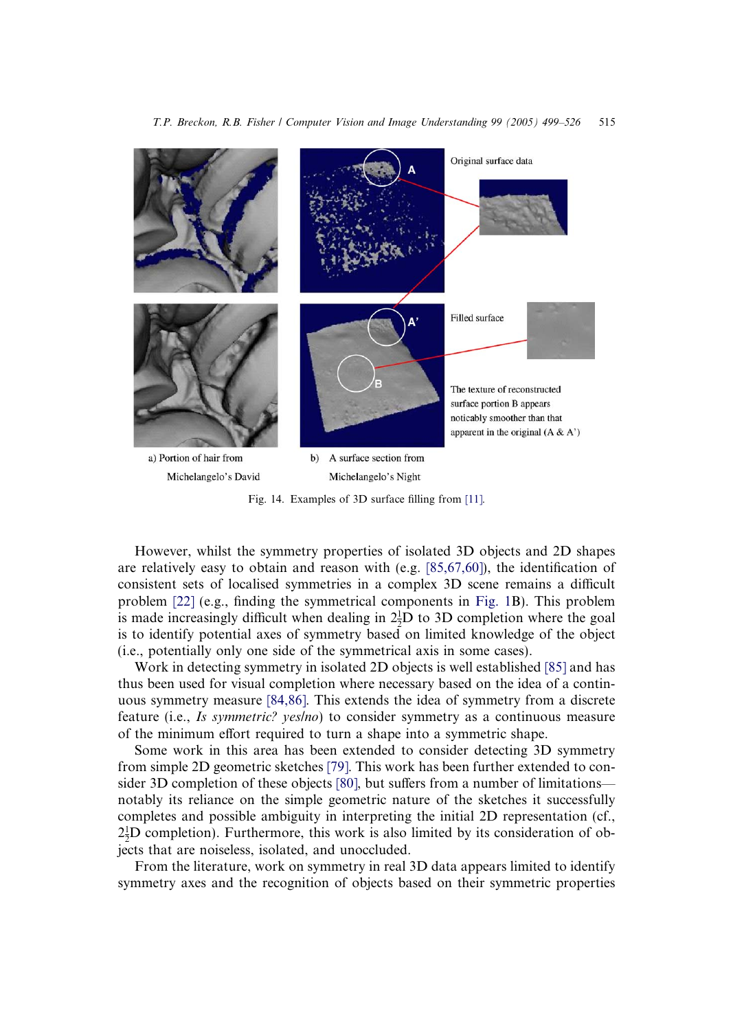<span id="page-16-0"></span>

Fig. 14. Examples of 3D surface filling from [\[11\].](#page-24-0)

However, whilst the symmetry properties of isolated 3D objects and 2D shapes are relatively easy to obtain and reason with (e.g. [\[85,67,60\]](#page-27-0)), the identification of consistent sets of localised symmetries in a complex 3D scene remains a difficult problem [\[22\]](#page-25-0) (e.g., finding the symmetrical components in [Fig. 1B](#page-1-0)). This problem is made increasingly difficult when dealing in  $2\frac{1}{2}D$  to 3D completion where the goal is to identify potential axes of symmetry based on limited knowledge of the object (i.e., potentially only one side of the symmetrical axis in some cases).

Work in detecting symmetry in isolated 2D objects is well established [\[85\]](#page-27-0) and has thus been used for visual completion where necessary based on the idea of a continuous symmetry measure [\[84,86\]](#page-27-0). This extends the idea of symmetry from a discrete feature (i.e., Is symmetric? yes/no) to consider symmetry as a continuous measure of the minimum effort required to turn a shape into a symmetric shape.

Some work in this area has been extended to consider detecting 3D symmetry from simple 2D geometric sketches [\[79\]](#page-27-0). This work has been further extended to consider 3D completion of these objects [\[80\],](#page-27-0) but suffers from a number of limitations notably its reliance on the simple geometric nature of the sketches it successfully completes and possible ambiguity in interpreting the initial 2D representation (cf.,  $2\frac{1}{2}D$  completion). Furthermore, this work is also limited by its consideration of ob $z_2$ D completion). The intermole, this work is also jects that are noiseless, isolated, and unoccluded.

From the literature, work on symmetry in real 3D data appears limited to identify symmetry axes and the recognition of objects based on their symmetric properties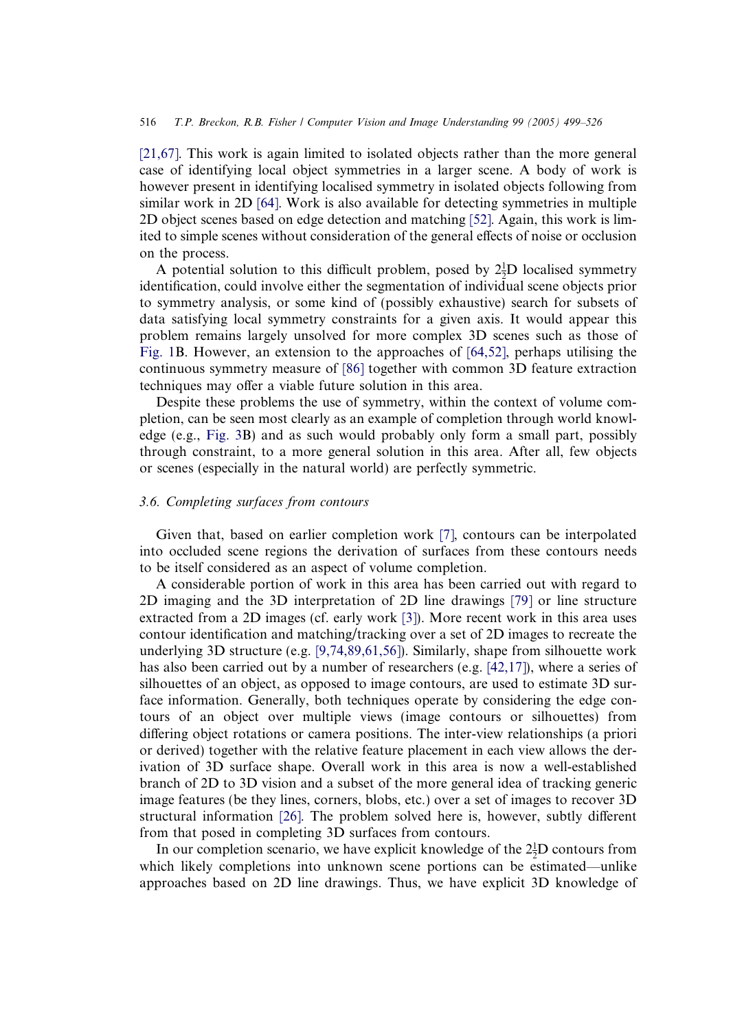[\[21,67\].](#page-25-0) This work is again limited to isolated objects rather than the more general case of identifying local object symmetries in a larger scene. A body of work is however present in identifying localised symmetry in isolated objects following from similar work in 2D [\[64\].](#page-26-0) Work is also available for detecting symmetries in multiple 2D object scenes based on edge detection and matching [\[52\].](#page-26-0) Again, this work is limited to simple scenes without consideration of the general effects of noise or occlusion on the process.

A potential solution to this difficult problem, posed by  $2\frac{1}{2}D$  localised symmetry identification, could involve either the segmentation of individual scene objects prior to symmetry analysis, or some kind of (possibly exhaustive) search for subsets of data satisfying local symmetry constraints for a given axis. It would appear this problem remains largely unsolved for more complex 3D scenes such as those of [Fig. 1](#page-1-0)B. However, an extension to the approaches of [\[64,52\],](#page-26-0) perhaps utilising the continuous symmetry measure of [\[86\]](#page-27-0) together with common 3D feature extraction techniques may offer a viable future solution in this area.

Despite these problems the use of symmetry, within the context of volume completion, can be seen most clearly as an example of completion through world knowledge (e.g., [Fig. 3B](#page-3-0)) and as such would probably only form a small part, possibly through constraint, to a more general solution in this area. After all, few objects or scenes (especially in the natural world) are perfectly symmetric.

# 3.6. Completing surfaces from contours

Given that, based on earlier completion work [\[7\]](#page-24-0), contours can be interpolated into occluded scene regions the derivation of surfaces from these contours needs to be itself considered as an aspect of volume completion.

A considerable portion of work in this area has been carried out with regard to 2D imaging and the 3D interpretation of 2D line drawings [\[79\]](#page-27-0) or line structure extracted from a 2D images (cf. early work [\[3\]](#page-24-0)). More recent work in this area uses contour identification and matching/tracking over a set of 2D images to recreate the underlying 3D structure (e.g. [\[9,74,89,61,56\]\)](#page-24-0). Similarly, shape from silhouette work has also been carried out by a number of researchers (e.g. [\[42,17\]](#page-25-0)), where a series of silhouettes of an object, as opposed to image contours, are used to estimate 3D surface information. Generally, both techniques operate by considering the edge contours of an object over multiple views (image contours or silhouettes) from differing object rotations or camera positions. The inter-view relationships (a priori or derived) together with the relative feature placement in each view allows the derivation of 3D surface shape. Overall work in this area is now a well-established branch of 2D to 3D vision and a subset of the more general idea of tracking generic image features (be they lines, corners, blobs, etc.) over a set of images to recover 3D structural information [\[26\].](#page-25-0) The problem solved here is, however, subtly different from that posed in completing 3D surfaces from contours.

In our completion scenario, we have explicit knowledge of the  $2\frac{1}{2}D$  contours from which likely completions into unknown scene portions can be estimated—unlike approaches based on 2D line drawings. Thus, we have explicit 3D knowledge of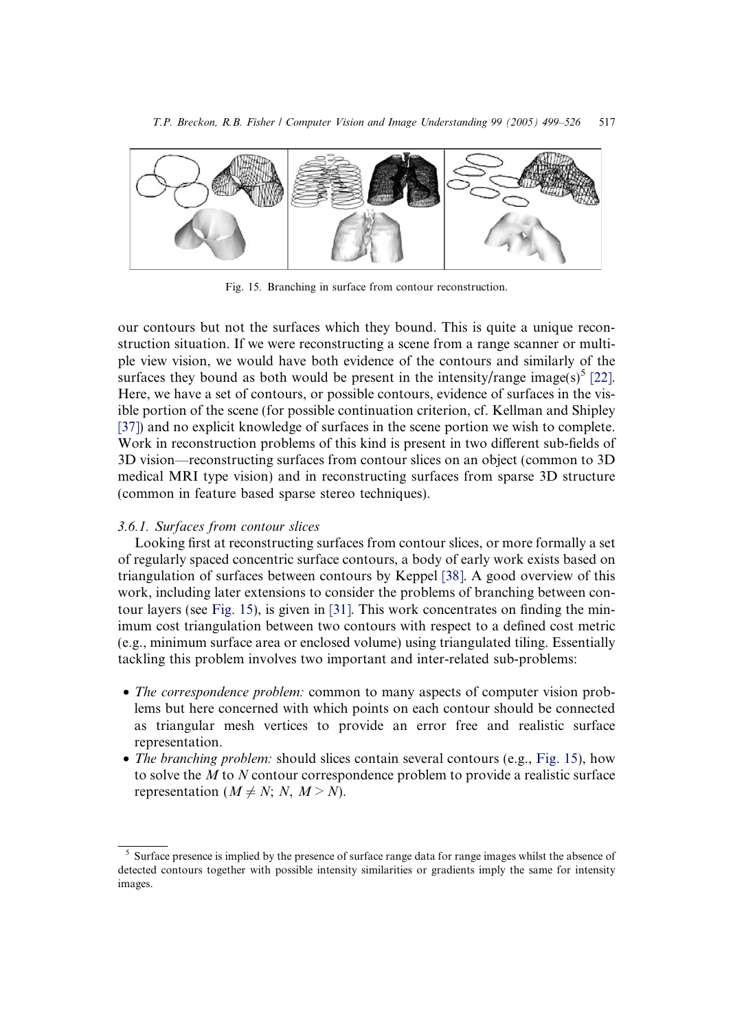<span id="page-18-0"></span>

Fig. 15. Branching in surface from contour reconstruction.

our contours but not the surfaces which they bound. This is quite a unique reconstruction situation. If we were reconstructing a scene from a range scanner or multiple view vision, we would have both evidence of the contours and similarly of the surfaces they bound as both would be present in the intensity/range image(s)<sup>5</sup> [\[22\]](#page-25-0). Here, we have a set of contours, or possible contours, evidence of surfaces in the visible portion of the scene (for possible continuation criterion, cf. Kellman and Shipley [\[37\]](#page-25-0)) and no explicit knowledge of surfaces in the scene portion we wish to complete. Work in reconstruction problems of this kind is present in two different sub-fields of 3D vision—reconstructing surfaces from contour slices on an object (common to 3D medical MRI type vision) and in reconstructing surfaces from sparse 3D structure (common in feature based sparse stereo techniques).

#### 3.6.1. Surfaces from contour slices

Looking first at reconstructing surfaces from contour slices, or more formally a set of regularly spaced concentric surface contours, a body of early work exists based on triangulation of surfaces between contours by Keppel [\[38\]](#page-25-0). A good overview of this work, including later extensions to consider the problems of branching between contour layers (see Fig. 15), is given in [\[31\].](#page-25-0) This work concentrates on finding the minimum cost triangulation between two contours with respect to a defined cost metric (e.g., minimum surface area or enclosed volume) using triangulated tiling. Essentially tackling this problem involves two important and inter-related sub-problems:

- The correspondence problem: common to many aspects of computer vision problems but here concerned with which points on each contour should be connected as triangular mesh vertices to provide an error free and realistic surface representation.
- The branching problem: should slices contain several contours (e.g., Fig. 15), how to solve the M to N contour correspondence problem to provide a realistic surface representation ( $M \neq N$ ; N,  $M > N$ ).

<sup>&</sup>lt;sup>5</sup> Surface presence is implied by the presence of surface range data for range images whilst the absence of detected contours together with possible intensity similarities or gradients imply the same for intensity images.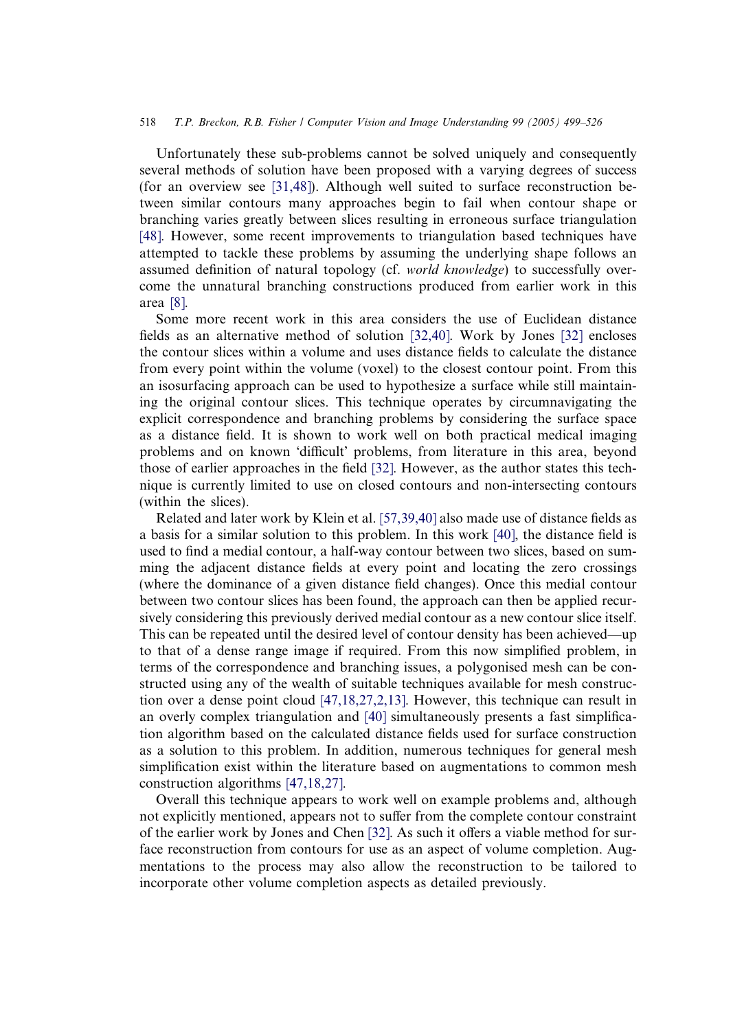#### 518 T.P. Breckon, R.B. Fisher / Computer Vision and Image Understanding 99 (2005) 499–526

Unfortunately these sub-problems cannot be solved uniquely and consequently several methods of solution have been proposed with a varying degrees of success (for an overview see [\[31,48\]](#page-25-0)). Although well suited to surface reconstruction between similar contours many approaches begin to fail when contour shape or branching varies greatly between slices resulting in erroneous surface triangulation [\[48\].](#page-26-0) However, some recent improvements to triangulation based techniques have attempted to tackle these problems by assuming the underlying shape follows an assumed definition of natural topology (cf. world knowledge) to successfully overcome the unnatural branching constructions produced from earlier work in this area [\[8\]](#page-24-0).

Some more recent work in this area considers the use of Euclidean distance fields as an alternative method of solution [\[32,40\]](#page-25-0). Work by Jones [\[32\]](#page-25-0) encloses the contour slices within a volume and uses distance fields to calculate the distance from every point within the volume (voxel) to the closest contour point. From this an isosurfacing approach can be used to hypothesize a surface while still maintaining the original contour slices. This technique operates by circumnavigating the explicit correspondence and branching problems by considering the surface space as a distance field. It is shown to work well on both practical medical imaging problems and on known 'difficult' problems, from literature in this area, beyond those of earlier approaches in the field [\[32\]](#page-25-0). However, as the author states this technique is currently limited to use on closed contours and non-intersecting contours (within the slices).

Related and later work by Klein et al. [\[57,39,40\]](#page-26-0) also made use of distance fields as a basis for a similar solution to this problem. In this work [\[40\]](#page-25-0), the distance field is used to find a medial contour, a half-way contour between two slices, based on summing the adjacent distance fields at every point and locating the zero crossings (where the dominance of a given distance field changes). Once this medial contour between two contour slices has been found, the approach can then be applied recursively considering this previously derived medial contour as a new contour slice itself. This can be repeated until the desired level of contour density has been achieved—up to that of a dense range image if required. From this now simplified problem, in terms of the correspondence and branching issues, a polygonised mesh can be constructed using any of the wealth of suitable techniques available for mesh construction over a dense point cloud [\[47,18,27,2,13\]](#page-26-0). However, this technique can result in an overly complex triangulation and [\[40\]](#page-25-0) simultaneously presents a fast simplification algorithm based on the calculated distance fields used for surface construction as a solution to this problem. In addition, numerous techniques for general mesh simplification exist within the literature based on augmentations to common mesh construction algorithms [\[47,18,27\].](#page-26-0)

Overall this technique appears to work well on example problems and, although not explicitly mentioned, appears not to suffer from the complete contour constraint of the earlier work by Jones and Chen [\[32\].](#page-25-0) As such it offers a viable method for surface reconstruction from contours for use as an aspect of volume completion. Augmentations to the process may also allow the reconstruction to be tailored to incorporate other volume completion aspects as detailed previously.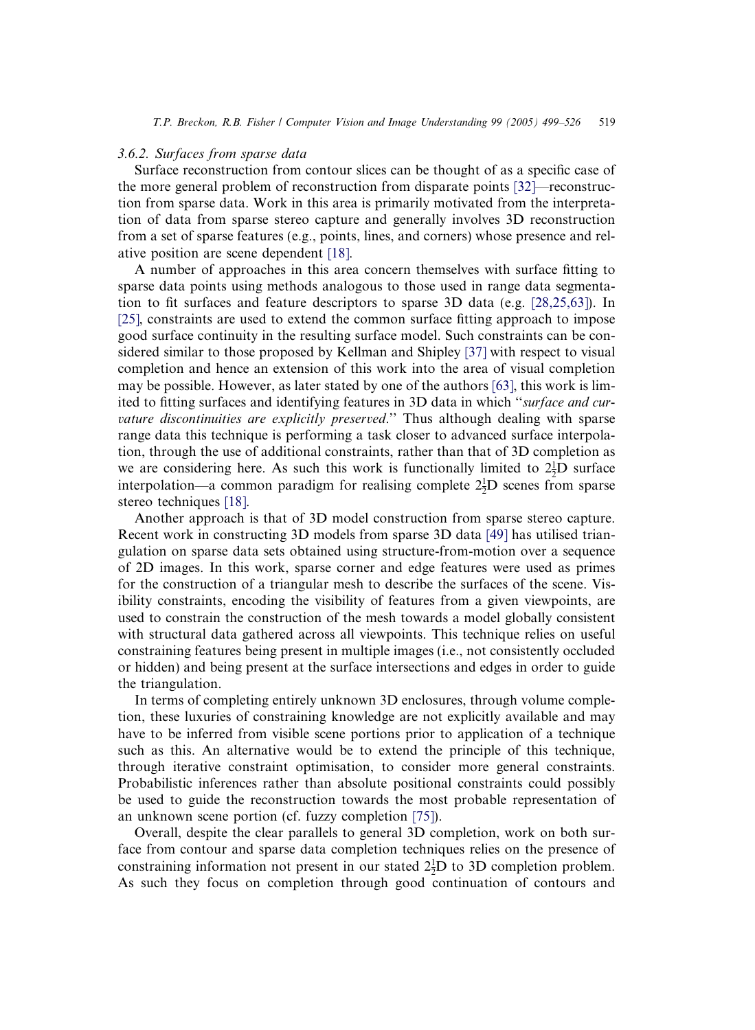#### 3.6.2. Surfaces from sparse data

Surface reconstruction from contour slices can be thought of as a specific case of the more general problem of reconstruction from disparate points [\[32\]—](#page-25-0)reconstruction from sparse data. Work in this area is primarily motivated from the interpretation of data from sparse stereo capture and generally involves 3D reconstruction from a set of sparse features (e.g., points, lines, and corners) whose presence and relative position are scene dependent [\[18\].](#page-25-0)

A number of approaches in this area concern themselves with surface fitting to sparse data points using methods analogous to those used in range data segmentation to fit surfaces and feature descriptors to sparse 3D data (e.g. [\[28,25,63\]](#page-25-0)). In [\[25\]](#page-25-0), constraints are used to extend the common surface fitting approach to impose good surface continuity in the resulting surface model. Such constraints can be considered similar to those proposed by Kellman and Shipley [\[37\]](#page-25-0) with respect to visual completion and hence an extension of this work into the area of visual completion may be possible. However, as later stated by one of the authors [\[63\]](#page-26-0), this work is limited to fitting surfaces and identifying features in 3D data in which "surface and curvature discontinuities are explicitly preserved." Thus although dealing with sparse range data this technique is performing a task closer to advanced surface interpolation, through the use of additional constraints, rather than that of 3D completion as we are considering here. As such this work is functionally limited to  $2^1/D$  surface interpolation—a common paradigm for realising complete  $2\frac{1}{2}$ D scenes from sparse stereo techniques [\[18\]](#page-25-0).

Another approach is that of 3D model construction from sparse stereo capture. Recent work in constructing 3D models from sparse 3D data [\[49\]](#page-26-0) has utilised triangulation on sparse data sets obtained using structure-from-motion over a sequence of 2D images. In this work, sparse corner and edge features were used as primes for the construction of a triangular mesh to describe the surfaces of the scene. Visibility constraints, encoding the visibility of features from a given viewpoints, are used to constrain the construction of the mesh towards a model globally consistent with structural data gathered across all viewpoints. This technique relies on useful constraining features being present in multiple images (i.e., not consistently occluded or hidden) and being present at the surface intersections and edges in order to guide the triangulation.

In terms of completing entirely unknown 3D enclosures, through volume completion, these luxuries of constraining knowledge are not explicitly available and may have to be inferred from visible scene portions prior to application of a technique such as this. An alternative would be to extend the principle of this technique, through iterative constraint optimisation, to consider more general constraints. Probabilistic inferences rather than absolute positional constraints could possibly be used to guide the reconstruction towards the most probable representation of an unknown scene portion (cf. fuzzy completion [\[75\]\)](#page-27-0).

Overall, despite the clear parallels to general 3D completion, work on both surface from contour and sparse data completion techniques relies on the presence of constraining information not present in our stated  $2\frac{1}{2}D$  to 3D completion problem. As such they focus on completion through good continuation of contours and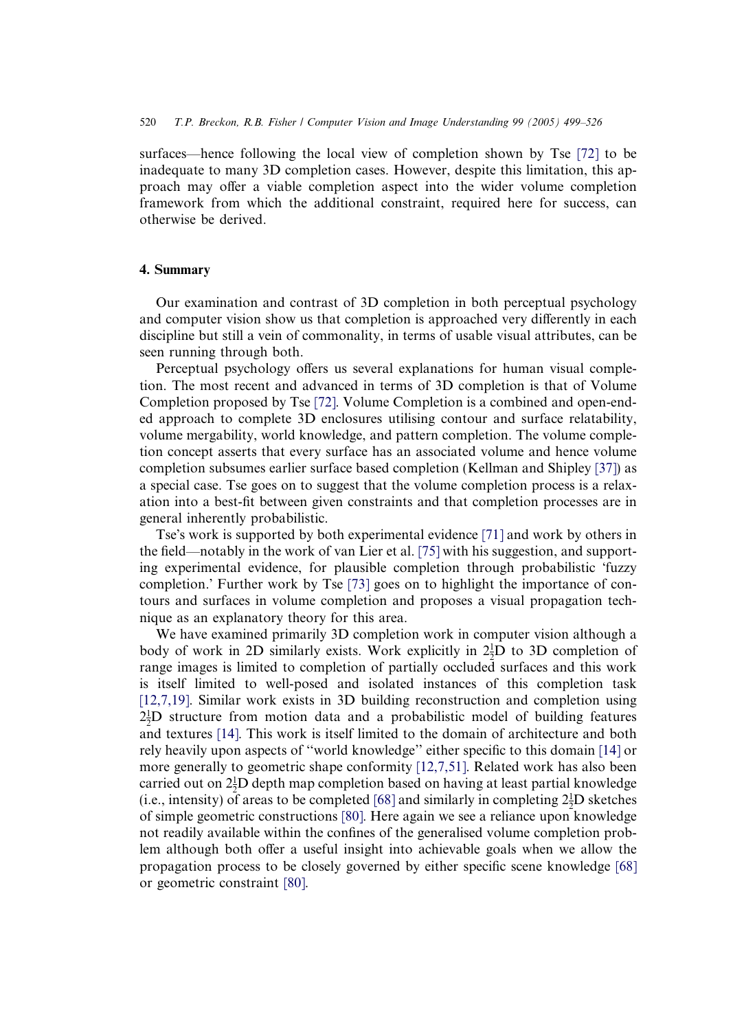surfaces—hence following the local view of completion shown by Tse [\[72\]](#page-27-0) to be inadequate to many 3D completion cases. However, despite this limitation, this approach may offer a viable completion aspect into the wider volume completion framework from which the additional constraint, required here for success, can otherwise be derived.

#### 4. Summary

Our examination and contrast of 3D completion in both perceptual psychology and computer vision show us that completion is approached very differently in each discipline but still a vein of commonality, in terms of usable visual attributes, can be seen running through both.

Perceptual psychology offers us several explanations for human visual completion. The most recent and advanced in terms of 3D completion is that of Volume Completion proposed by Tse [\[72\].](#page-27-0) Volume Completion is a combined and open-ended approach to complete 3D enclosures utilising contour and surface relatability, volume mergability, world knowledge, and pattern completion. The volume completion concept asserts that every surface has an associated volume and hence volume completion subsumes earlier surface based completion (Kellman and Shipley [\[37\]](#page-25-0)) as a special case. Tse goes on to suggest that the volume completion process is a relaxation into a best-fit between given constraints and that completion processes are in general inherently probabilistic.

Tse's work is supported by both experimental evidence [\[71\]](#page-26-0) and work by others in the field—notably in the work of van Lier et al. [\[75\]](#page-27-0) with his suggestion, and supporting experimental evidence, for plausible completion through probabilistic fuzzy completion.' Further work by Tse [\[73\]](#page-27-0) goes on to highlight the importance of contours and surfaces in volume completion and proposes a visual propagation technique as an explanatory theory for this area.

We have examined primarily 3D completion work in computer vision although a body of work in 2D similarly exists. Work explicitly in  $2\frac{1}{2}D$  to 3D completion of range images is limited to completion of partially occluded surfaces and this work is itself limited to well-posed and isolated instances of this completion task [\[12,7,19\]](#page-24-0). Similar work exists in 3D building reconstruction and completion using  $2\frac{1}{2}D$  structure from motion data and a probabilistic model of building features and textures [\[14\].](#page-24-0) This work is itself limited to the domain of architecture and both rely heavily upon aspects of ''world knowledge'' either specific to this domain [\[14\]](#page-24-0) or more generally to geometric shape conformity [\[12,7,51\]](#page-24-0). Related work has also been carried out on  $2\frac{1}{2}D$  depth map completion based on having at least partial knowledge (i.e., intensity) of areas to be completed [\[68\]](#page-26-0) and similarly in completing  $2\frac{1}{2}D$  sketches of simple geometric constructions [\[80\].](#page-27-0) Here again we see a reliance upon knowledge not readily available within the confines of the generalised volume completion problem although both offer a useful insight into achievable goals when we allow the propagation process to be closely governed by either specific scene knowledge [\[68\]](#page-26-0) or geometric constraint [\[80\].](#page-27-0)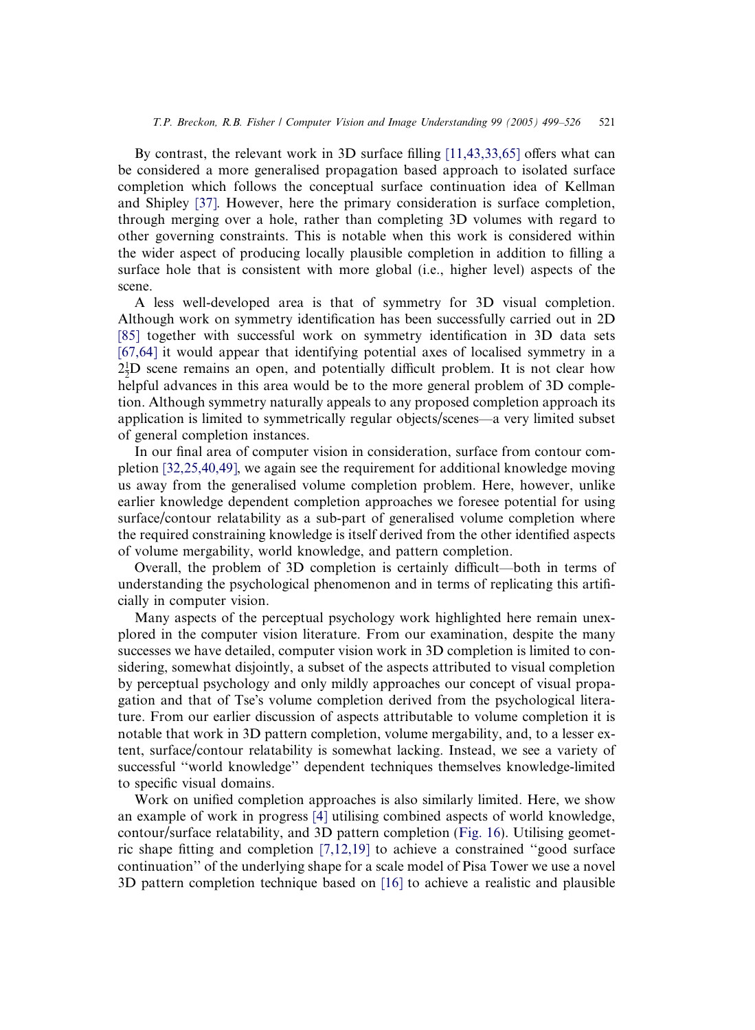By contrast, the relevant work in  $3D$  surface filling [\[11,43,33,65\]](#page-24-0) offers what can be considered a more generalised propagation based approach to isolated surface completion which follows the conceptual surface continuation idea of Kellman and Shipley [\[37\]](#page-25-0). However, here the primary consideration is surface completion, through merging over a hole, rather than completing 3D volumes with regard to other governing constraints. This is notable when this work is considered within the wider aspect of producing locally plausible completion in addition to filling a surface hole that is consistent with more global (i.e., higher level) aspects of the scene.

A less well-developed area is that of symmetry for 3D visual completion. Although work on symmetry identification has been successfully carried out in 2D [\[85\]](#page-27-0) together with successful work on symmetry identification in 3D data sets [\[67,64\]](#page-26-0) it would appear that identifying potential axes of localised symmetry in a  $2\frac{1}{2}D$  scene remains an open, and potentially difficult problem. It is not clear how helpful advances in this area would be to the more general problem of 3D completion. Although symmetry naturally appeals to any proposed completion approach its application is limited to symmetrically regular objects/scenes—a very limited subset of general completion instances.

In our final area of computer vision in consideration, surface from contour completion [\[32,25,40,49\],](#page-25-0) we again see the requirement for additional knowledge moving us away from the generalised volume completion problem. Here, however, unlike earlier knowledge dependent completion approaches we foresee potential for using surface/contour relatability as a sub-part of generalised volume completion where the required constraining knowledge is itself derived from the other identified aspects of volume mergability, world knowledge, and pattern completion.

Overall, the problem of 3D completion is certainly difficult—both in terms of understanding the psychological phenomenon and in terms of replicating this artificially in computer vision.

Many aspects of the perceptual psychology work highlighted here remain unexplored in the computer vision literature. From our examination, despite the many successes we have detailed, computer vision work in 3D completion is limited to considering, somewhat disjointly, a subset of the aspects attributed to visual completion by perceptual psychology and only mildly approaches our concept of visual propagation and that of Tse's volume completion derived from the psychological literature. From our earlier discussion of aspects attributable to volume completion it is notable that work in 3D pattern completion, volume mergability, and, to a lesser extent, surface/contour relatability is somewhat lacking. Instead, we see a variety of successful ''world knowledge'' dependent techniques themselves knowledge-limited to specific visual domains.

Work on unified completion approaches is also similarly limited. Here, we show an example of work in progress [\[4\]](#page-24-0) utilising combined aspects of world knowledge, contour/surface relatability, and 3D pattern completion ([Fig. 16\)](#page-23-0). Utilising geometric shape fitting and completion [\[7,12,19\]](#page-24-0) to achieve a constrained ''good surface continuation'' of the underlying shape for a scale model of Pisa Tower we use a novel 3D pattern completion technique based on [\[16\]](#page-24-0) to achieve a realistic and plausible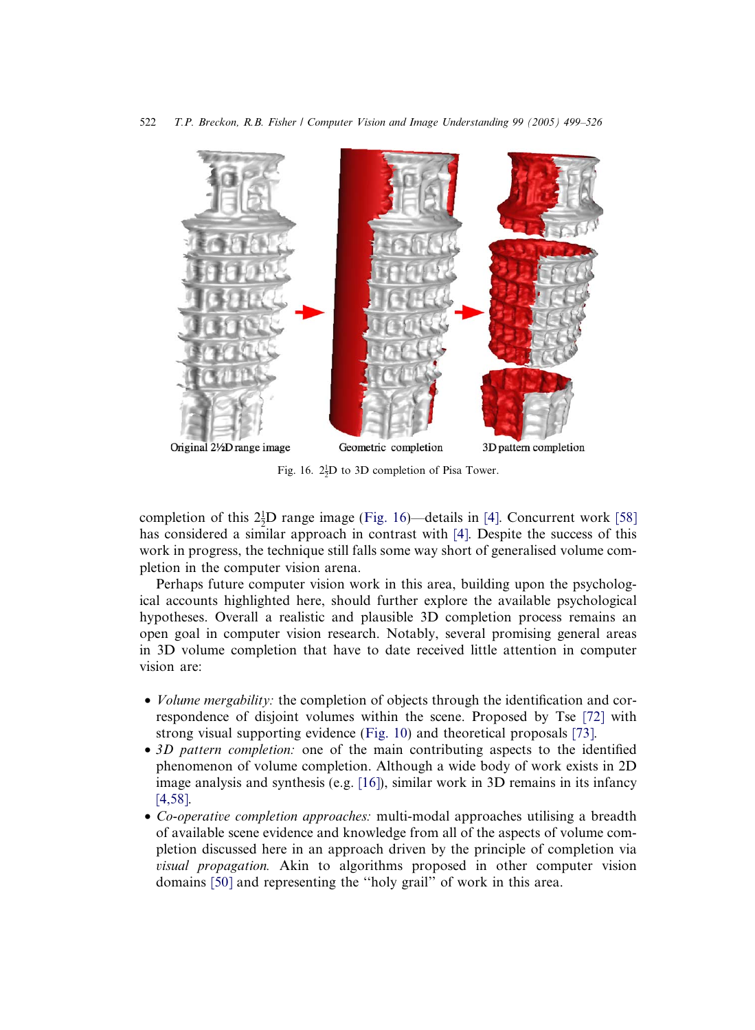<span id="page-23-0"></span>

Fig. 16.  $2\frac{1}{2}D$  to 3D completion of Pisa Tower.

completion of this  $2\frac{1}{2}D$  range image (Fig. 16)—details in [\[4\]](#page-24-0). Concurrent work [\[58\]](#page-26-0) has considered a similar approach in contrast with [\[4\]](#page-24-0). Despite the success of this work in progress, the technique still falls some way short of generalised volume completion in the computer vision arena.

Perhaps future computer vision work in this area, building upon the psychological accounts highlighted here, should further explore the available psychological hypotheses. Overall a realistic and plausible 3D completion process remains an open goal in computer vision research. Notably, several promising general areas in 3D volume completion that have to date received little attention in computer vision are:

- *Volume mergability:* the completion of objects through the identification and correspondence of disjoint volumes within the scene. Proposed by Tse [\[72\]](#page-27-0) with strong visual supporting evidence [\(Fig. 10\)](#page-10-0) and theoretical proposals [\[73\].](#page-27-0)
- 3D pattern completion: one of the main contributing aspects to the identified phenomenon of volume completion. Although a wide body of work exists in 2D image analysis and synthesis (e.g. [\[16\]\)](#page-24-0), similar work in 3D remains in its infancy [\[4,58\].](#page-24-0)
- Co-operative completion approaches: multi-modal approaches utilising a breadth of available scene evidence and knowledge from all of the aspects of volume completion discussed here in an approach driven by the principle of completion via visual propagation. Akin to algorithms proposed in other computer vision domains [\[50\]](#page-26-0) and representing the ''holy grail'' of work in this area.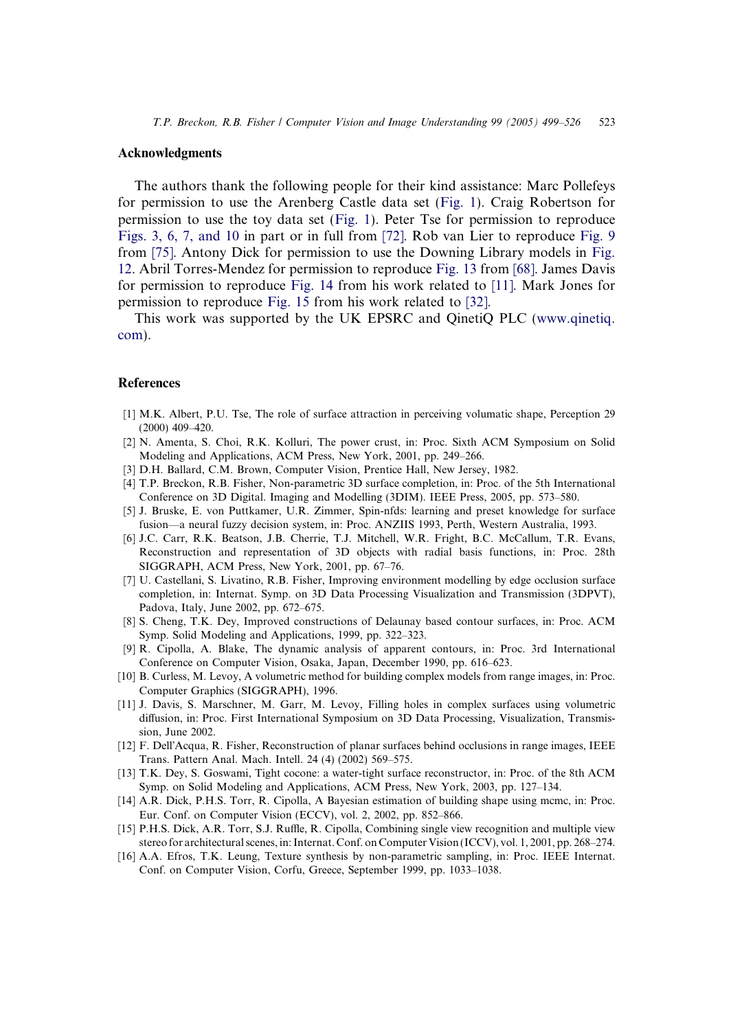### <span id="page-24-0"></span>Acknowledgments

The authors thank the following people for their kind assistance: Marc Pollefeys for permission to use the Arenberg Castle data set [\(Fig. 1\)](#page-1-0). Craig Robertson for permission to use the toy data set [\(Fig. 1](#page-1-0)). Peter Tse for permission to reproduce [Figs. 3, 6, 7, and 10](#page-3-0) in part or in full from [\[72\]](#page-27-0). Rob van Lier to reproduce [Fig. 9](#page-9-0) from [\[75\].](#page-27-0) Antony Dick for permission to use the Downing Library models in [Fig.](#page-13-0) [12](#page-13-0). Abril Torres-Mendez for permission to reproduce [Fig. 13](#page-14-0) from [\[68\]](#page-26-0). James Davis for permission to reproduce [Fig. 14](#page-16-0) from his work related to [11]. Mark Jones for permission to reproduce [Fig. 15](#page-18-0) from his work related to [\[32\]](#page-25-0).

This work was supported by the UK EPSRC and QinetiQ PLC [\(www.qinetiq.](http://www.qinetiq.com) [com](http://www.qinetiq.com)).

#### References

- [1] M.K. Albert, P.U. Tse, The role of surface attraction in perceiving volumatic shape, Perception 29 (2000) 409–420.
- [2] N. Amenta, S. Choi, R.K. Kolluri, The power crust, in: Proc. Sixth ACM Symposium on Solid Modeling and Applications, ACM Press, New York, 2001, pp. 249–266.
- [3] D.H. Ballard, C.M. Brown, Computer Vision, Prentice Hall, New Jersey, 1982.
- [4] T.P. Breckon, R.B. Fisher, Non-parametric 3D surface completion, in: Proc. of the 5th International Conference on 3D Digital. Imaging and Modelling (3DIM). IEEE Press, 2005, pp. 573–580.
- [5] J. Bruske, E. von Puttkamer, U.R. Zimmer, Spin-nfds: learning and preset knowledge for surface fusion—a neural fuzzy decision system, in: Proc. ANZIIS 1993, Perth, Western Australia, 1993.
- [6] J.C. Carr, R.K. Beatson, J.B. Cherrie, T.J. Mitchell, W.R. Fright, B.C. McCallum, T.R. Evans, Reconstruction and representation of 3D objects with radial basis functions, in: Proc. 28th SIGGRAPH, ACM Press, New York, 2001, pp. 67–76.
- [7] U. Castellani, S. Livatino, R.B. Fisher, Improving environment modelling by edge occlusion surface completion, in: Internat. Symp. on 3D Data Processing Visualization and Transmission (3DPVT), Padova, Italy, June 2002, pp. 672–675.
- [8] S. Cheng, T.K. Dey, Improved constructions of Delaunay based contour surfaces, in: Proc. ACM Symp. Solid Modeling and Applications, 1999, pp. 322–323.
- [9] R. Cipolla, A. Blake, The dynamic analysis of apparent contours, in: Proc. 3rd International Conference on Computer Vision, Osaka, Japan, December 1990, pp. 616–623.
- [10] B. Curless, M. Levoy, A volumetric method for building complex models from range images, in: Proc. Computer Graphics (SIGGRAPH), 1996.
- [11] J. Davis, S. Marschner, M. Garr, M. Levoy, Filling holes in complex surfaces using volumetric diffusion, in: Proc. First International Symposium on 3D Data Processing, Visualization, Transmission, June 2002.
- [12] F. Dell'Acqua, R. Fisher, Reconstruction of planar surfaces behind occlusions in range images, IEEE Trans. Pattern Anal. Mach. Intell. 24 (4) (2002) 569–575.
- [13] T.K. Dey, S. Goswami, Tight cocone: a water-tight surface reconstructor, in: Proc. of the 8th ACM Symp. on Solid Modeling and Applications, ACM Press, New York, 2003, pp. 127–134.
- [14] A.R. Dick, P.H.S. Torr, R. Cipolla, A Bayesian estimation of building shape using mcmc, in: Proc. Eur. Conf. on Computer Vision (ECCV), vol. 2, 2002, pp. 852–866.
- [15] P.H.S. Dick, A.R. Torr, S.J. Ruffle, R. Cipolla, Combining single view recognition and multiple view stereo for architectural scenes, in: Internat. Conf. on Computer Vision (ICCV), vol. 1, 2001, pp. 268–274.
- [16] A.A. Efros, T.K. Leung, Texture synthesis by non-parametric sampling, in: Proc. IEEE Internat. Conf. on Computer Vision, Corfu, Greece, September 1999, pp. 1033–1038.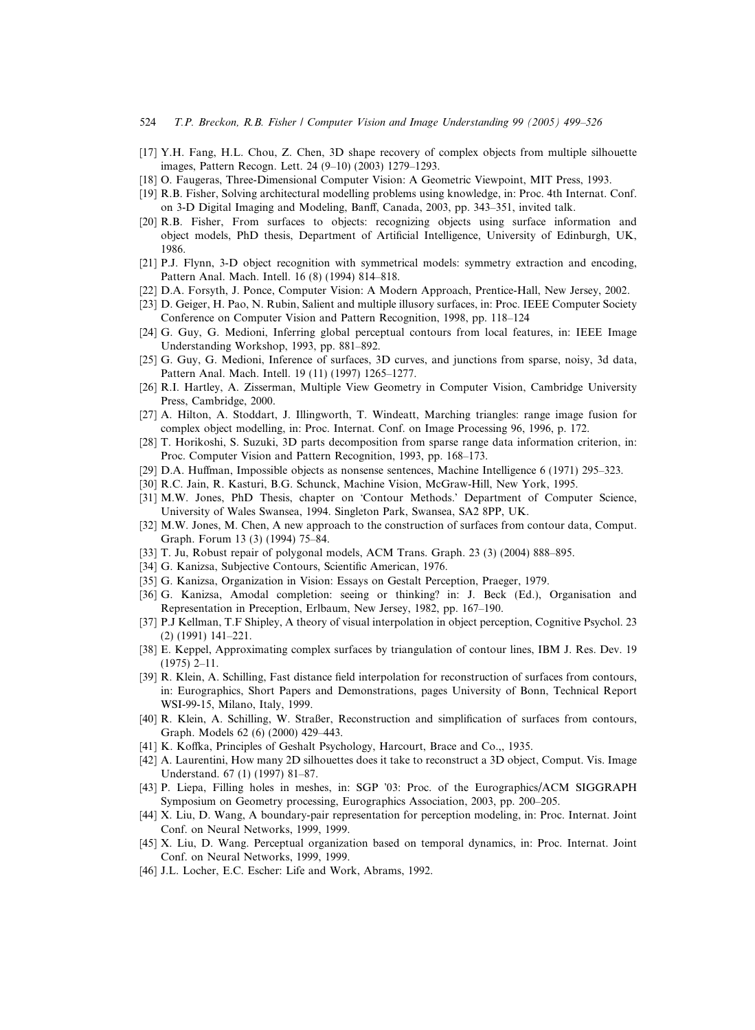- <span id="page-25-0"></span>524 T.P. Breckon, R.B. Fisher / Computer Vision and Image Understanding 99 (2005) 499–526
- [17] Y.H. Fang, H.L. Chou, Z. Chen, 3D shape recovery of complex objects from multiple silhouette images, Pattern Recogn. Lett. 24 (9–10) (2003) 1279–1293.
- [18] O. Faugeras, Three-Dimensional Computer Vision: A Geometric Viewpoint, MIT Press, 1993.
- [19] R.B. Fisher, Solving architectural modelling problems using knowledge, in: Proc. 4th Internat. Conf. on 3-D Digital Imaging and Modeling, Banff, Canada, 2003, pp. 343–351, invited talk.
- [20] R.B. Fisher, From surfaces to objects: recognizing objects using surface information and object models, PhD thesis, Department of Artificial Intelligence, University of Edinburgh, UK, 1986.
- [21] P.J. Flynn, 3-D object recognition with symmetrical models: symmetry extraction and encoding, Pattern Anal. Mach. Intell. 16 (8) (1994) 814–818.
- [22] D.A. Forsyth, J. Ponce, Computer Vision: A Modern Approach, Prentice-Hall, New Jersey, 2002.
- [23] D. Geiger, H. Pao, N. Rubin, Salient and multiple illusory surfaces, in: Proc. IEEE Computer Society Conference on Computer Vision and Pattern Recognition, 1998, pp. 118–124
- [24] G. Guy, G. Medioni, Inferring global perceptual contours from local features, in: IEEE Image Understanding Workshop, 1993, pp. 881–892.
- [25] G. Guy, G. Medioni, Inference of surfaces, 3D curves, and junctions from sparse, noisy, 3d data, Pattern Anal. Mach. Intell. 19 (11) (1997) 1265–1277.
- [26] R.I. Hartley, A. Zisserman, Multiple View Geometry in Computer Vision, Cambridge University Press, Cambridge, 2000.
- [27] A. Hilton, A. Stoddart, J. Illingworth, T. Windeatt, Marching triangles: range image fusion for complex object modelling, in: Proc. Internat. Conf. on Image Processing 96, 1996, p. 172.
- [28] T. Horikoshi, S. Suzuki, 3D parts decomposition from sparse range data information criterion, in: Proc. Computer Vision and Pattern Recognition, 1993, pp. 168–173.
- [29] D.A. Huffman, Impossible objects as nonsense sentences, Machine Intelligence 6 (1971) 295–323.
- [30] R.C. Jain, R. Kasturi, B.G. Schunck, Machine Vision, McGraw-Hill, New York, 1995.
- [31] M.W. Jones, PhD Thesis, chapter on 'Contour Methods.' Department of Computer Science, University of Wales Swansea, 1994. Singleton Park, Swansea, SA2 8PP, UK.
- [32] M.W. Jones, M. Chen, A new approach to the construction of surfaces from contour data, Comput. Graph. Forum 13 (3) (1994) 75–84.
- [33] T. Ju, Robust repair of polygonal models, ACM Trans. Graph. 23 (3) (2004) 888–895.
- [34] G. Kanizsa, Subjective Contours, Scientific American, 1976.
- [35] G. Kanizsa, Organization in Vision: Essays on Gestalt Perception, Praeger, 1979.
- [36] G. Kanizsa, Amodal completion: seeing or thinking? in: J. Beck (Ed.), Organisation and Representation in Preception, Erlbaum, New Jersey, 1982, pp. 167–190.
- [37] P.J Kellman, T.F Shipley, A theory of visual interpolation in object perception, Cognitive Psychol. 23 (2) (1991) 141–221.
- [38] E. Keppel, Approximating complex surfaces by triangulation of contour lines, IBM J. Res. Dev. 19 (1975) 2–11.
- [39] R. Klein, A. Schilling, Fast distance field interpolation for reconstruction of surfaces from contours, in: Eurographics, Short Papers and Demonstrations, pages University of Bonn, Technical Report WSI-99-15, Milano, Italy, 1999.
- [40] R. Klein, A. Schilling, W. Straßer, Reconstruction and simplification of surfaces from contours, Graph. Models 62 (6) (2000) 429–443.
- [41] K. Koffka, Principles of Geshalt Psychology, Harcourt, Brace and Co.,, 1935.
- [42] A. Laurentini, How many 2D silhouettes does it take to reconstruct a 3D object, Comput. Vis. Image Understand. 67 (1) (1997) 81–87.
- [43] P. Liepa, Filling holes in meshes, in: SGP '03: Proc. of the Eurographics/ACM SIGGRAPH Symposium on Geometry processing, Eurographics Association, 2003, pp. 200–205.
- [44] X. Liu, D. Wang, A boundary-pair representation for perception modeling, in: Proc. Internat. Joint Conf. on Neural Networks, 1999, 1999.
- [45] X. Liu, D. Wang. Perceptual organization based on temporal dynamics, in: Proc. Internat. Joint Conf. on Neural Networks, 1999, 1999.
- [46] J.L. Locher, E.C. Escher: Life and Work, Abrams, 1992.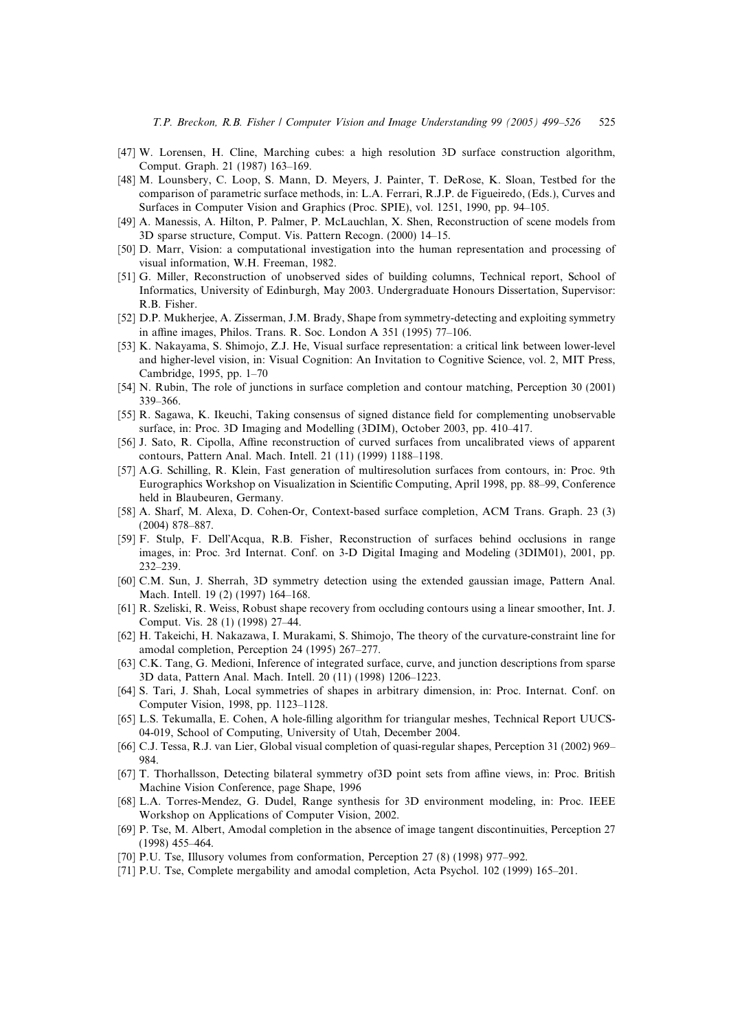- <span id="page-26-0"></span>[47] W. Lorensen, H. Cline, Marching cubes: a high resolution 3D surface construction algorithm, Comput. Graph. 21 (1987) 163–169.
- [48] M. Lounsbery, C. Loop, S. Mann, D. Meyers, J. Painter, T. DeRose, K. Sloan, Testbed for the comparison of parametric surface methods, in: L.A. Ferrari, R.J.P. de Figueiredo, (Eds.), Curves and Surfaces in Computer Vision and Graphics (Proc. SPIE), vol. 1251, 1990, pp. 94–105.
- [49] A. Manessis, A. Hilton, P. Palmer, P. McLauchlan, X. Shen, Reconstruction of scene models from 3D sparse structure, Comput. Vis. Pattern Recogn. (2000) 14–15.
- [50] D. Marr, Vision: a computational investigation into the human representation and processing of visual information, W.H. Freeman, 1982.
- [51] G. Miller, Reconstruction of unobserved sides of building columns, Technical report, School of Informatics, University of Edinburgh, May 2003. Undergraduate Honours Dissertation, Supervisor: R.B. Fisher.
- [52] D.P. Mukherjee, A. Zisserman, J.M. Brady, Shape from symmetry-detecting and exploiting symmetry in affine images, Philos. Trans. R. Soc. London A 351 (1995) 77–106.
- [53] K. Nakayama, S. Shimojo, Z.J. He, Visual surface representation: a critical link between lower-level and higher-level vision, in: Visual Cognition: An Invitation to Cognitive Science, vol. 2, MIT Press, Cambridge, 1995, pp. 1–70
- [54] N. Rubin, The role of junctions in surface completion and contour matching, Perception 30 (2001) 339–366.
- [55] R. Sagawa, K. Ikeuchi, Taking consensus of signed distance field for complementing unobservable surface, in: Proc. 3D Imaging and Modelling (3DIM), October 2003, pp. 410–417.
- [56] J. Sato, R. Cipolla, Affine reconstruction of curved surfaces from uncalibrated views of apparent contours, Pattern Anal. Mach. Intell. 21 (11) (1999) 1188–1198.
- [57] A.G. Schilling, R. Klein, Fast generation of multiresolution surfaces from contours, in: Proc. 9th Eurographics Workshop on Visualization in Scientific Computing, April 1998, pp. 88–99, Conference held in Blaubeuren, Germany.
- [58] A. Sharf, M. Alexa, D. Cohen-Or, Context-based surface completion, ACM Trans. Graph. 23 (3) (2004) 878–887.
- [59] F. Stulp, F. Dell'Acqua, R.B. Fisher, Reconstruction of surfaces behind occlusions in range images, in: Proc. 3rd Internat. Conf. on 3-D Digital Imaging and Modeling (3DIM01), 2001, pp. 232–239.
- [60] C.M. Sun, J. Sherrah, 3D symmetry detection using the extended gaussian image, Pattern Anal. Mach. Intell. 19 (2) (1997) 164–168.
- [61] R. Szeliski, R. Weiss, Robust shape recovery from occluding contours using a linear smoother, Int. J. Comput. Vis. 28 (1) (1998) 27–44.
- [62] H. Takeichi, H. Nakazawa, I. Murakami, S. Shimojo, The theory of the curvature-constraint line for amodal completion, Perception 24 (1995) 267–277.
- [63] C.K. Tang, G. Medioni, Inference of integrated surface, curve, and junction descriptions from sparse 3D data, Pattern Anal. Mach. Intell. 20 (11) (1998) 1206–1223.
- [64] S. Tari, J. Shah, Local symmetries of shapes in arbitrary dimension, in: Proc. Internat. Conf. on Computer Vision, 1998, pp. 1123–1128.
- [65] L.S. Tekumalla, E. Cohen, A hole-filling algorithm for triangular meshes, Technical Report UUCS-04-019, School of Computing, University of Utah, December 2004.
- [66] C.J. Tessa, R.J. van Lier, Global visual completion of quasi-regular shapes, Perception 31 (2002) 969– 984.
- [67] T. Thorhallsson, Detecting bilateral symmetry of3D point sets from affine views, in: Proc. British Machine Vision Conference, page Shape, 1996
- [68] L.A. Torres-Mendez, G. Dudel, Range synthesis for 3D environment modeling, in: Proc. IEEE Workshop on Applications of Computer Vision, 2002.
- [69] P. Tse, M. Albert, Amodal completion in the absence of image tangent discontinuities, Perception 27 (1998) 455–464.
- [70] P.U. Tse, Illusory volumes from conformation, Perception 27 (8) (1998) 977–992.
- [71] P.U. Tse, Complete mergability and amodal completion, Acta Psychol. 102 (1999) 165–201.